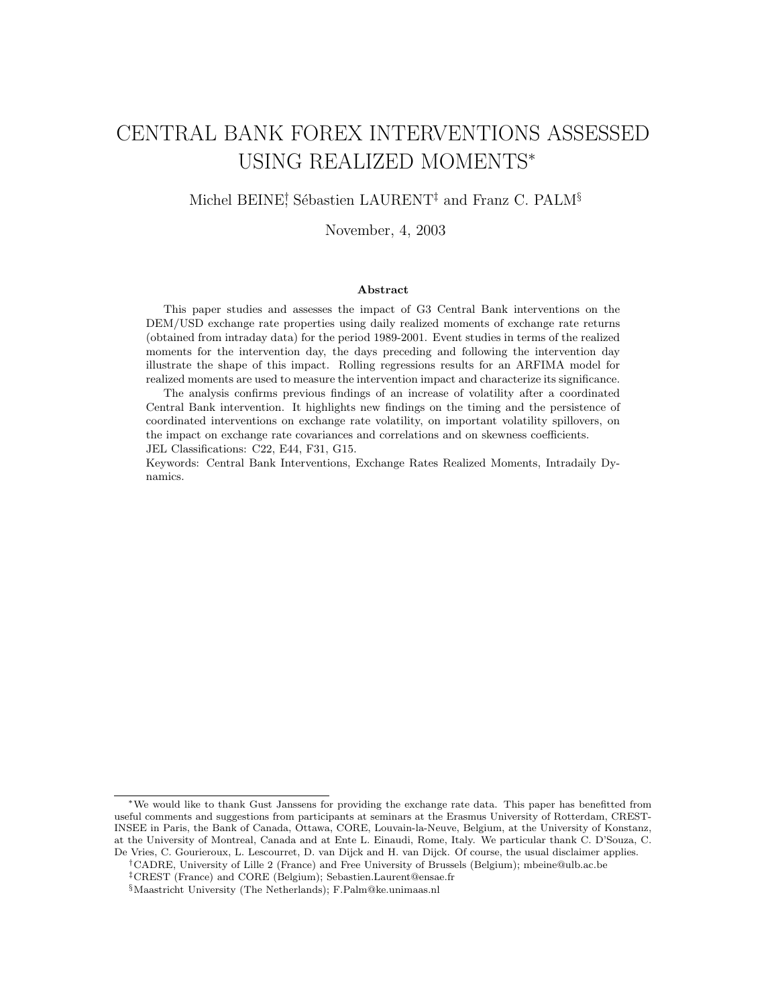# CENTRAL BANK FOREX INTERVENTIONS ASSESSED USING REALIZED MOMENTS<sup>∗</sup>

### Michel BEINE<sup>†</sup>, Sébastien LAURENT<sup>‡</sup> and Franz C. PALM<sup>§</sup>

November, 4, 2003

#### Abstract

This paper studies and assesses the impact of G3 Central Bank interventions on the DEM/USD exchange rate properties using daily realized moments of exchange rate returns (obtained from intraday data) for the period 1989-2001. Event studies in terms of the realized moments for the intervention day, the days preceding and following the intervention day illustrate the shape of this impact. Rolling regressions results for an ARFIMA model for realized moments are used to measure the intervention impact and characterize its significance.

The analysis confirms previous findings of an increase of volatility after a coordinated Central Bank intervention. It highlights new findings on the timing and the persistence of coordinated interventions on exchange rate volatility, on important volatility spillovers, on the impact on exchange rate covariances and correlations and on skewness coefficients. JEL Classifications: C22, E44, F31, G15.

Keywords: Central Bank Interventions, Exchange Rates Realized Moments, Intradaily Dynamics.

<sup>∗</sup>We would like to thank Gust Janssens for providing the exchange rate data. This paper has benefitted from useful comments and suggestions from participants at seminars at the Erasmus University of Rotterdam, CREST-INSEE in Paris, the Bank of Canada, Ottawa, CORE, Louvain-la-Neuve, Belgium, at the University of Konstanz, at the University of Montreal, Canada and at Ente L. Einaudi, Rome, Italy. We particular thank C. D'Souza, C. De Vries, C. Gourieroux, L. Lescourret, D. van Dijck and H. van Dijck. Of course, the usual disclaimer applies.

<sup>†</sup>CADRE, University of Lille 2 (France) and Free University of Brussels (Belgium); mbeine@ulb.ac.be ‡CREST (France) and CORE (Belgium); Sebastien.Laurent@ensae.fr

<sup>§</sup>Maastricht University (The Netherlands); F.Palm@ke.unimaas.nl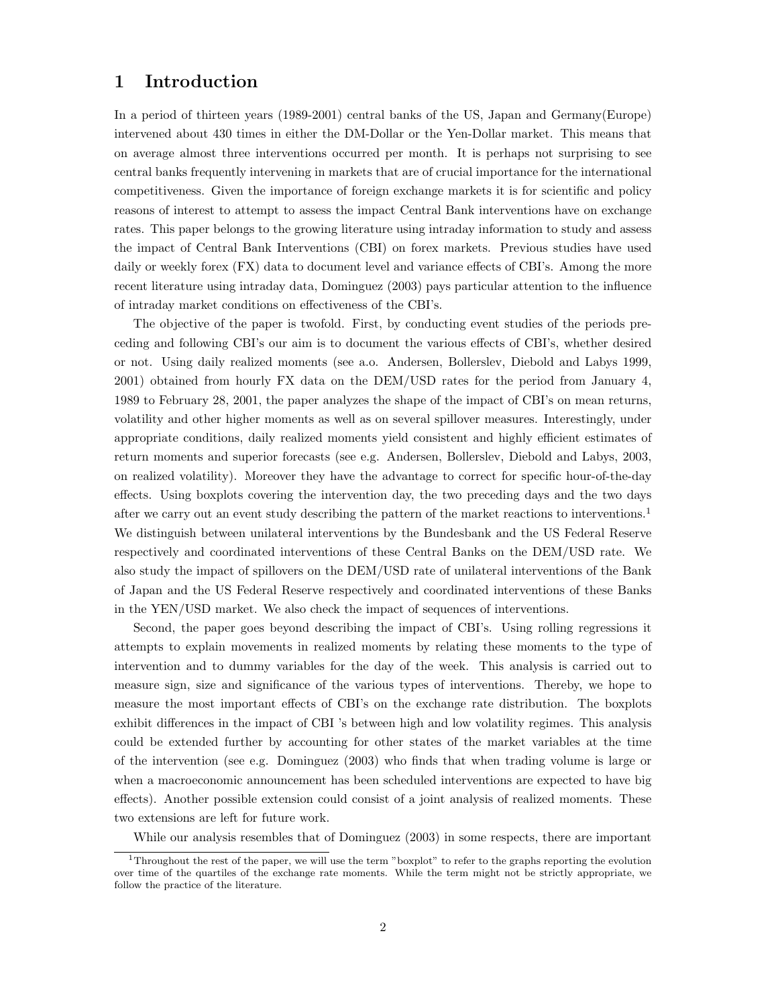## 1 Introduction

In a period of thirteen years (1989-2001) central banks of the US, Japan and Germany(Europe) intervened about 430 times in either the DM-Dollar or the Yen-Dollar market. This means that on average almost three interventions occurred per month. It is perhaps not surprising to see central banks frequently intervening in markets that are of crucial importance for the international competitiveness. Given the importance of foreign exchange markets it is for scientific and policy reasons of interest to attempt to assess the impact Central Bank interventions have on exchange rates. This paper belongs to the growing literature using intraday information to study and assess the impact of Central Bank Interventions (CBI) on forex markets. Previous studies have used daily or weekly forex (FX) data to document level and variance effects of CBI's. Among the more recent literature using intraday data, Dominguez (2003) pays particular attention to the influence of intraday market conditions on effectiveness of the CBI's.

The objective of the paper is twofold. First, by conducting event studies of the periods preceding and following CBI's our aim is to document the various effects of CBI's, whether desired or not. Using daily realized moments (see a.o. Andersen, Bollerslev, Diebold and Labys 1999, 2001) obtained from hourly FX data on the DEM/USD rates for the period from January 4, 1989 to February 28, 2001, the paper analyzes the shape of the impact of CBI's on mean returns, volatility and other higher moments as well as on several spillover measures. Interestingly, under appropriate conditions, daily realized moments yield consistent and highly efficient estimates of return moments and superior forecasts (see e.g. Andersen, Bollerslev, Diebold and Labys, 2003, on realized volatility). Moreover they have the advantage to correct for specific hour-of-the-day effects. Using boxplots covering the intervention day, the two preceding days and the two days after we carry out an event study describing the pattern of the market reactions to interventions.<sup>1</sup> We distinguish between unilateral interventions by the Bundesbank and the US Federal Reserve respectively and coordinated interventions of these Central Banks on the DEM/USD rate. We also study the impact of spillovers on the DEM/USD rate of unilateral interventions of the Bank of Japan and the US Federal Reserve respectively and coordinated interventions of these Banks in the YEN/USD market. We also check the impact of sequences of interventions.

Second, the paper goes beyond describing the impact of CBI's. Using rolling regressions it attempts to explain movements in realized moments by relating these moments to the type of intervention and to dummy variables for the day of the week. This analysis is carried out to measure sign, size and significance of the various types of interventions. Thereby, we hope to measure the most important effects of CBI's on the exchange rate distribution. The boxplots exhibit differences in the impact of CBI 's between high and low volatility regimes. This analysis could be extended further by accounting for other states of the market variables at the time of the intervention (see e.g. Dominguez (2003) who finds that when trading volume is large or when a macroeconomic announcement has been scheduled interventions are expected to have big effects). Another possible extension could consist of a joint analysis of realized moments. These two extensions are left for future work.

While our analysis resembles that of Dominguez (2003) in some respects, there are important

<sup>1</sup>Throughout the rest of the paper, we will use the term "boxplot" to refer to the graphs reporting the evolution over time of the quartiles of the exchange rate moments. While the term might not be strictly appropriate, we follow the practice of the literature.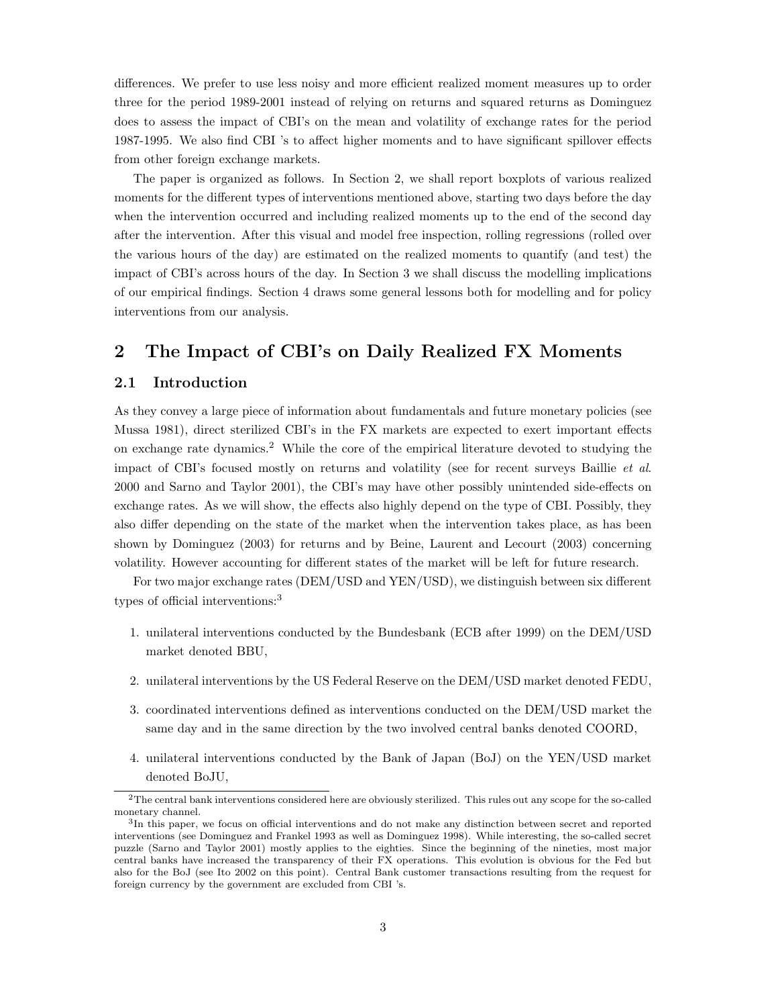differences. We prefer to use less noisy and more efficient realized moment measures up to order three for the period 1989-2001 instead of relying on returns and squared returns as Dominguez does to assess the impact of CBI's on the mean and volatility of exchange rates for the period 1987-1995. We also find CBI 's to affect higher moments and to have significant spillover effects from other foreign exchange markets.

The paper is organized as follows. In Section 2, we shall report boxplots of various realized moments for the different types of interventions mentioned above, starting two days before the day when the intervention occurred and including realized moments up to the end of the second day after the intervention. After this visual and model free inspection, rolling regressions (rolled over the various hours of the day) are estimated on the realized moments to quantify (and test) the impact of CBI's across hours of the day. In Section 3 we shall discuss the modelling implications of our empirical findings. Section 4 draws some general lessons both for modelling and for policy interventions from our analysis.

## 2 The Impact of CBI's on Daily Realized FX Moments

#### 2.1 Introduction

As they convey a large piece of information about fundamentals and future monetary policies (see Mussa 1981), direct sterilized CBI's in the FX markets are expected to exert important effects on exchange rate dynamics.<sup>2</sup> While the core of the empirical literature devoted to studying the impact of CBI's focused mostly on returns and volatility (see for recent surveys Baillie et al. 2000 and Sarno and Taylor 2001), the CBI's may have other possibly unintended side-effects on exchange rates. As we will show, the effects also highly depend on the type of CBI. Possibly, they also differ depending on the state of the market when the intervention takes place, as has been shown by Dominguez (2003) for returns and by Beine, Laurent and Lecourt (2003) concerning volatility. However accounting for different states of the market will be left for future research.

For two major exchange rates (DEM/USD and YEN/USD), we distinguish between six different types of official interventions:<sup>3</sup>

- 1. unilateral interventions conducted by the Bundesbank (ECB after 1999) on the DEM/USD market denoted BBU,
- 2. unilateral interventions by the US Federal Reserve on the DEM/USD market denoted FEDU,
- 3. coordinated interventions defined as interventions conducted on the DEM/USD market the same day and in the same direction by the two involved central banks denoted COORD,
- 4. unilateral interventions conducted by the Bank of Japan (BoJ) on the YEN/USD market denoted BoJU,

 $2$ The central bank interventions considered here are obviously sterilized. This rules out any scope for the so-called monetary channel.

<sup>&</sup>lt;sup>3</sup>In this paper, we focus on official interventions and do not make any distinction between secret and reported interventions (see Dominguez and Frankel 1993 as well as Dominguez 1998). While interesting, the so-called secret puzzle (Sarno and Taylor 2001) mostly applies to the eighties. Since the beginning of the nineties, most major central banks have increased the transparency of their FX operations. This evolution is obvious for the Fed but also for the BoJ (see Ito 2002 on this point). Central Bank customer transactions resulting from the request for foreign currency by the government are excluded from CBI 's.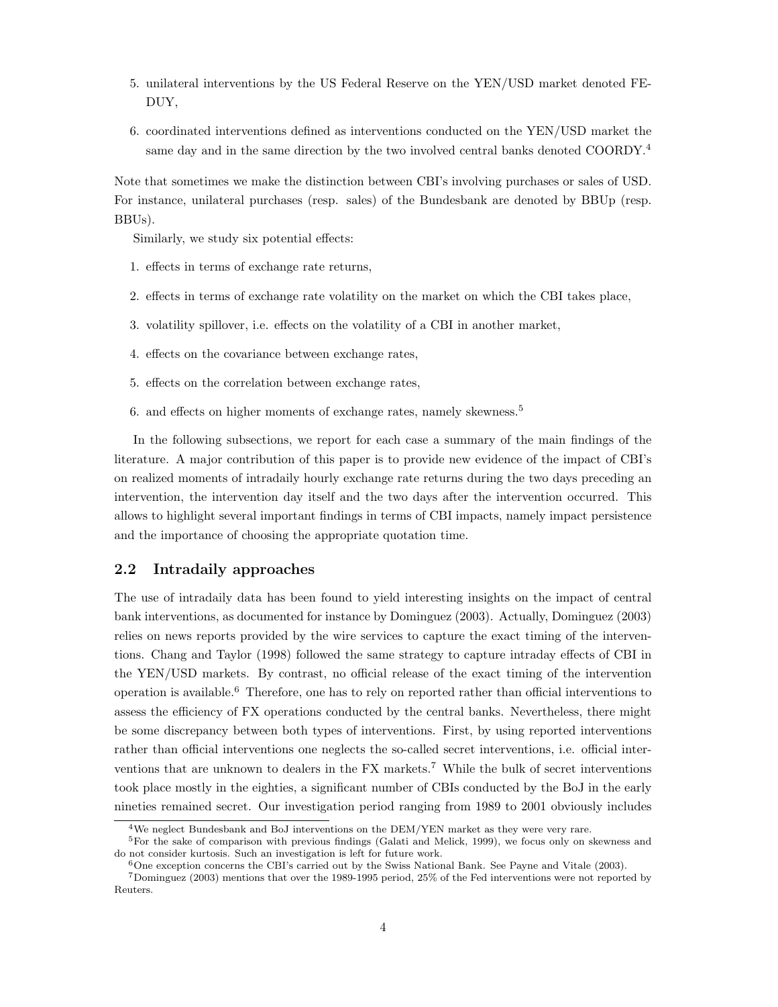- 5. unilateral interventions by the US Federal Reserve on the YEN/USD market denoted FE-DUY,
- 6. coordinated interventions defined as interventions conducted on the YEN/USD market the same day and in the same direction by the two involved central banks denoted COORDY.<sup>4</sup>

Note that sometimes we make the distinction between CBI's involving purchases or sales of USD. For instance, unilateral purchases (resp. sales) of the Bundesbank are denoted by BBUp (resp. BBUs).

Similarly, we study six potential effects:

- 1. effects in terms of exchange rate returns,
- 2. effects in terms of exchange rate volatility on the market on which the CBI takes place,
- 3. volatility spillover, i.e. effects on the volatility of a CBI in another market,
- 4. effects on the covariance between exchange rates,
- 5. effects on the correlation between exchange rates,
- 6. and effects on higher moments of exchange rates, namely skewness.<sup>5</sup>

In the following subsections, we report for each case a summary of the main findings of the literature. A major contribution of this paper is to provide new evidence of the impact of CBI's on realized moments of intradaily hourly exchange rate returns during the two days preceding an intervention, the intervention day itself and the two days after the intervention occurred. This allows to highlight several important findings in terms of CBI impacts, namely impact persistence and the importance of choosing the appropriate quotation time.

#### 2.2 Intradaily approaches

The use of intradaily data has been found to yield interesting insights on the impact of central bank interventions, as documented for instance by Dominguez (2003). Actually, Dominguez (2003) relies on news reports provided by the wire services to capture the exact timing of the interventions. Chang and Taylor (1998) followed the same strategy to capture intraday effects of CBI in the YEN/USD markets. By contrast, no official release of the exact timing of the intervention operation is available.<sup>6</sup> Therefore, one has to rely on reported rather than official interventions to assess the efficiency of FX operations conducted by the central banks. Nevertheless, there might be some discrepancy between both types of interventions. First, by using reported interventions rather than official interventions one neglects the so-called secret interventions, i.e. official interventions that are unknown to dealers in the  $FX$  markets.<sup>7</sup> While the bulk of secret interventions took place mostly in the eighties, a significant number of CBIs conducted by the BoJ in the early nineties remained secret. Our investigation period ranging from 1989 to 2001 obviously includes

<sup>&</sup>lt;sup>4</sup>We neglect Bundesbank and BoJ interventions on the DEM/YEN market as they were very rare.

<sup>5</sup>For the sake of comparison with previous findings (Galati and Melick, 1999), we focus only on skewness and do not consider kurtosis. Such an investigation is left for future work.

 $6$ One exception concerns the CBI's carried out by the Swiss National Bank. See Payne and Vitale (2003).

<sup>7</sup>Dominguez (2003) mentions that over the 1989-1995 period, 25% of the Fed interventions were not reported by Reuters.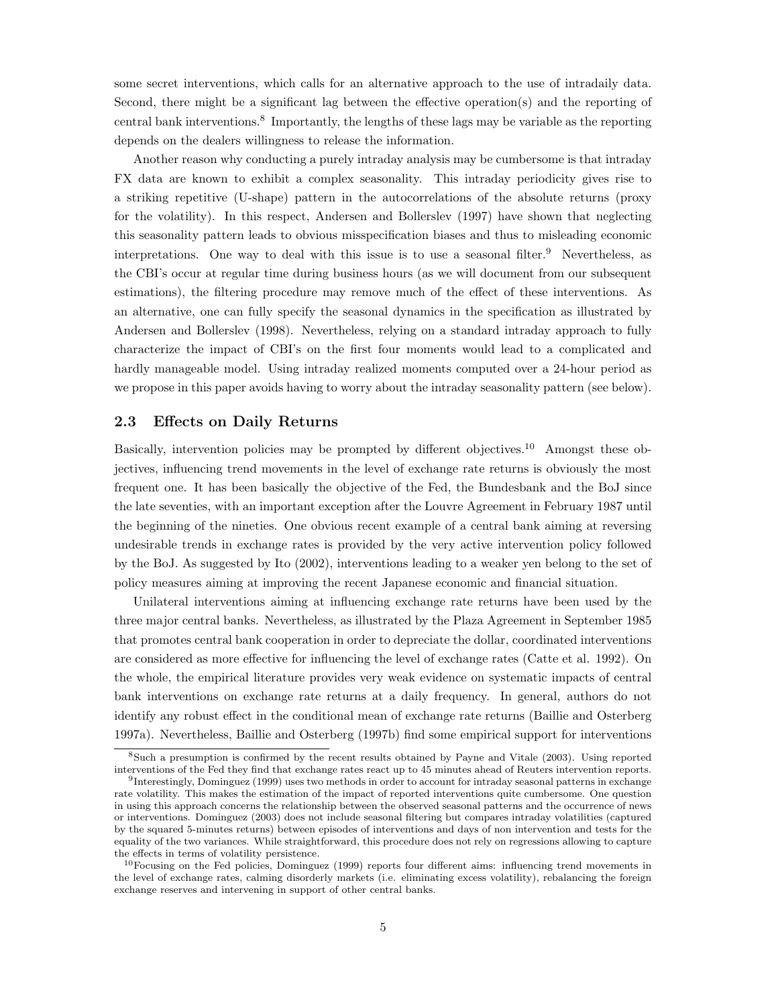some secret interventions, which calls for an alternative approach to the use of intradaily data. Second, there might be a significant lag between the effective operation(s) and the reporting of central bank interventions.<sup>8</sup> Importantly, the lengths of these lags may be variable as the reporting depends on the dealers willingness to release the information.

Another reason why conducting a purely intraday analysis may be cumbersome is that intraday FX data are known to exhibit a complex seasonality. This intraday periodicity gives rise to a striking repetitive (U-shape) pattern in the autocorrelations of the absolute returns (proxy for the volatility). In this respect, Andersen and Bollerslev (1997) have shown that neglecting this seasonality pattern leads to obvious misspecification biases and thus to misleading economic interpretations. One way to deal with this issue is to use a seasonal filter.<sup>9</sup> Nevertheless, as the CBI's occur at regular time during business hours (as we will document from our subsequent estimations), the filtering procedure may remove much of the effect of these interventions. As an alternative, one can fully specify the seasonal dynamics in the specification as illustrated by Andersen and Bollerslev (1998). Nevertheless, relying on a standard intraday approach to fully characterize the impact of CBI's on the first four moments would lead to a complicated and hardly manageable model. Using intraday realized moments computed over a 24-hour period as we propose in this paper avoids having to worry about the intraday seasonality pattern (see below).

#### 2.3 Effects on Daily Returns

Basically, intervention policies may be prompted by different objectives.<sup>10</sup> Amongst these objectives, influencing trend movements in the level of exchange rate returns is obviously the most frequent one. It has been basically the objective of the Fed, the Bundesbank and the BoJ since the late seventies, with an important exception after the Louvre Agreement in February 1987 until the beginning of the nineties. One obvious recent example of a central bank aiming at reversing undesirable trends in exchange rates is provided by the very active intervention policy followed by the BoJ. As suggested by Ito (2002), interventions leading to a weaker yen belong to the set of policy measures aiming at improving the recent Japanese economic and financial situation.

Unilateral interventions aiming at influencing exchange rate returns have been used by the three major central banks. Nevertheless, as illustrated by the Plaza Agreement in September 1985 that promotes central bank cooperation in order to depreciate the dollar, coordinated interventions are considered as more effective for influencing the level of exchange rates (Catte et al. 1992). On the whole, the empirical literature provides very weak evidence on systematic impacts of central bank interventions on exchange rate returns at a daily frequency. In general, authors do not identify any robust effect in the conditional mean of exchange rate returns (Baillie and Osterberg 1997a). Nevertheless, Baillie and Osterberg (1997b) find some empirical support for interventions

<sup>8</sup>Such a presumption is confirmed by the recent results obtained by Payne and Vitale (2003). Using reported interventions of the Fed they find that exchange rates react up to 45 minutes ahead of Reuters intervention reports.

<sup>9</sup> Interestingly, Dominguez (1999) uses two methods in order to account for intraday seasonal patterns in exchange rate volatility. This makes the estimation of the impact of reported interventions quite cumbersome. One question in using this approach concerns the relationship between the observed seasonal patterns and the occurrence of news or interventions. Dominguez (2003) does not include seasonal filtering but compares intraday volatilities (captured by the squared 5-minutes returns) between episodes of interventions and days of non intervention and tests for the equality of the two variances. While straightforward, this procedure does not rely on regressions allowing to capture the effects in terms of volatility persistence.

 $10$ Focusing on the Fed policies, Dominguez (1999) reports four different aims: influencing trend movements in the level of exchange rates, calming disorderly markets (i.e. eliminating excess volatility), rebalancing the foreign exchange reserves and intervening in support of other central banks.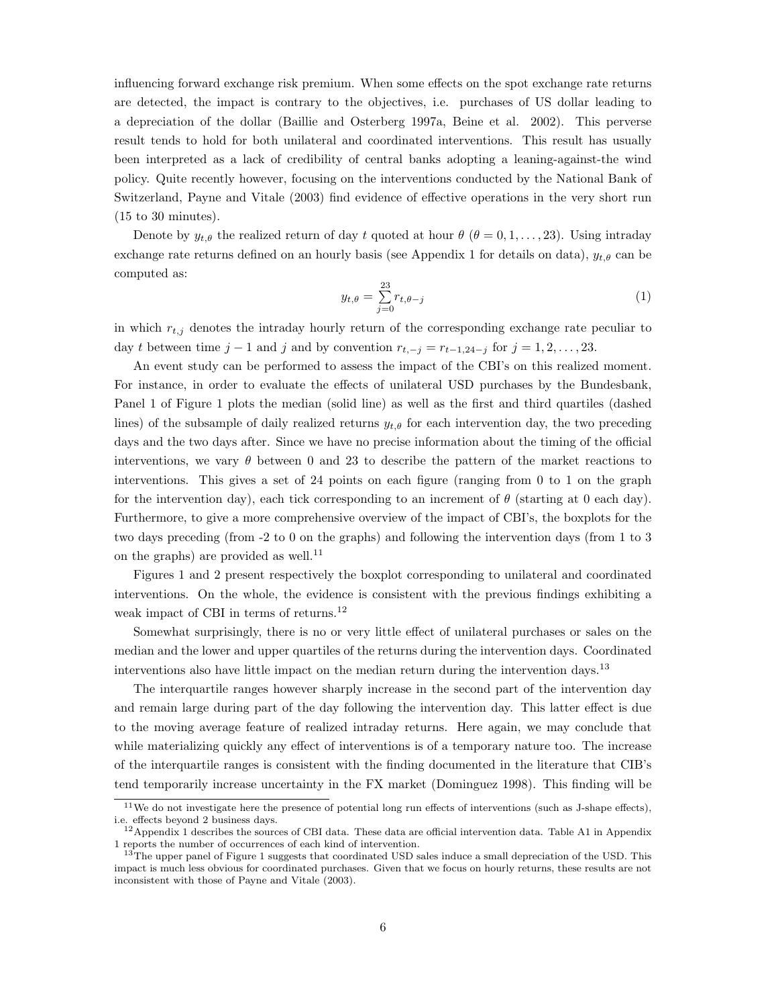influencing forward exchange risk premium. When some effects on the spot exchange rate returns are detected, the impact is contrary to the objectives, i.e. purchases of US dollar leading to a depreciation of the dollar (Baillie and Osterberg 1997a, Beine et al. 2002). This perverse result tends to hold for both unilateral and coordinated interventions. This result has usually been interpreted as a lack of credibility of central banks adopting a leaning-against-the wind policy. Quite recently however, focusing on the interventions conducted by the National Bank of Switzerland, Payne and Vitale (2003) find evidence of effective operations in the very short run (15 to 30 minutes).

Denote by  $y_{t,\theta}$  the realized return of day t quoted at hour  $\theta$  ( $\theta = 0, 1, \ldots, 23$ ). Using intraday exchange rate returns defined on an hourly basis (see Appendix 1 for details on data),  $y_{t,\theta}$  can be computed as:

$$
y_{t,\theta} = \sum_{j=0}^{23} r_{t,\theta-j} \tag{1}
$$

in which  $r_{t,j}$  denotes the intraday hourly return of the corresponding exchange rate peculiar to day t between time  $j-1$  and j and by convention  $r_{t,-j} = r_{t-1,24-j}$  for  $j = 1,2,\ldots, 23$ .

An event study can be performed to assess the impact of the CBI's on this realized moment. For instance, in order to evaluate the effects of unilateral USD purchases by the Bundesbank, Panel 1 of Figure 1 plots the median (solid line) as well as the first and third quartiles (dashed lines) of the subsample of daily realized returns  $y_{t,\theta}$  for each intervention day, the two preceding days and the two days after. Since we have no precise information about the timing of the official interventions, we vary  $\theta$  between 0 and 23 to describe the pattern of the market reactions to interventions. This gives a set of 24 points on each figure (ranging from 0 to 1 on the graph for the intervention day), each tick corresponding to an increment of  $\theta$  (starting at 0 each day). Furthermore, to give a more comprehensive overview of the impact of CBI's, the boxplots for the two days preceding (from -2 to 0 on the graphs) and following the intervention days (from 1 to 3 on the graphs) are provided as well.<sup>11</sup>

Figures 1 and 2 present respectively the boxplot corresponding to unilateral and coordinated interventions. On the whole, the evidence is consistent with the previous findings exhibiting a weak impact of CBI in terms of returns.<sup>12</sup>

Somewhat surprisingly, there is no or very little effect of unilateral purchases or sales on the median and the lower and upper quartiles of the returns during the intervention days. Coordinated interventions also have little impact on the median return during the intervention days.<sup>13</sup>

The interquartile ranges however sharply increase in the second part of the intervention day and remain large during part of the day following the intervention day. This latter effect is due to the moving average feature of realized intraday returns. Here again, we may conclude that while materializing quickly any effect of interventions is of a temporary nature too. The increase of the interquartile ranges is consistent with the finding documented in the literature that CIB's tend temporarily increase uncertainty in the FX market (Dominguez 1998). This finding will be

<sup>11</sup>We do not investigate here the presence of potential long run effects of interventions (such as J-shape effects), i.e. effects beyond 2 business days.

<sup>12</sup>Appendix 1 describes the sources of CBI data. These data are official intervention data. Table A1 in Appendix 1 reports the number of occurrences of each kind of intervention.

<sup>&</sup>lt;sup>13</sup>The upper panel of Figure 1 suggests that coordinated USD sales induce a small depreciation of the USD. This impact is much less obvious for coordinated purchases. Given that we focus on hourly returns, these results are not inconsistent with those of Payne and Vitale (2003).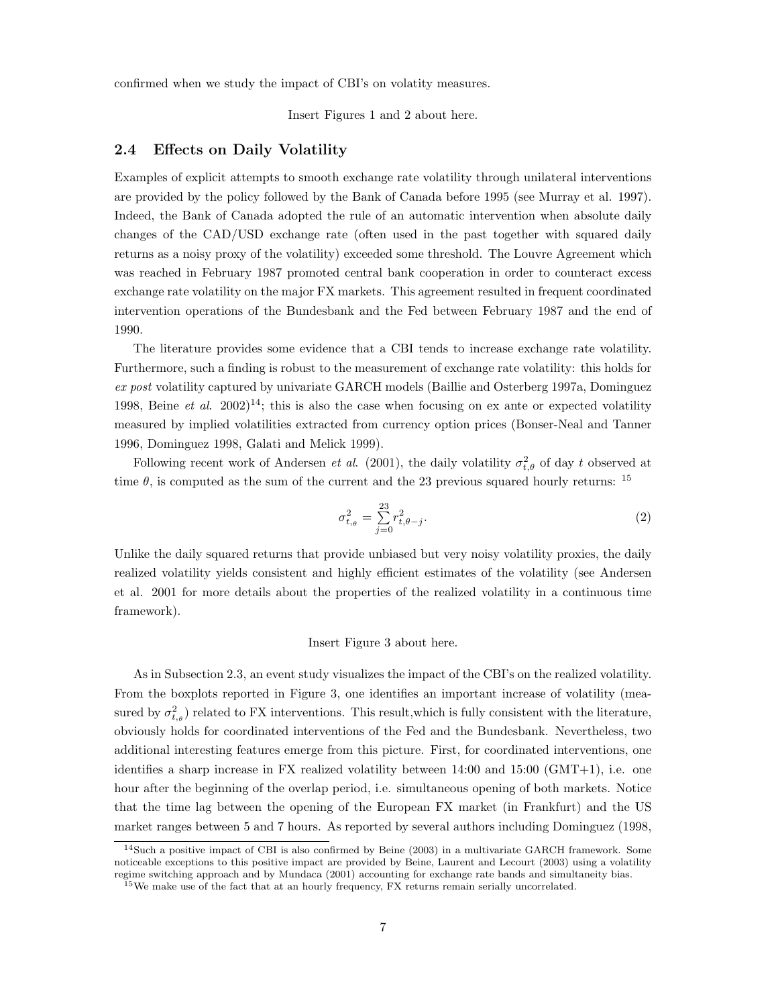confirmed when we study the impact of CBI's on volatity measures.

Insert Figures 1 and 2 about here.

#### 2.4 Effects on Daily Volatility

Examples of explicit attempts to smooth exchange rate volatility through unilateral interventions are provided by the policy followed by the Bank of Canada before 1995 (see Murray et al. 1997). Indeed, the Bank of Canada adopted the rule of an automatic intervention when absolute daily changes of the CAD/USD exchange rate (often used in the past together with squared daily returns as a noisy proxy of the volatility) exceeded some threshold. The Louvre Agreement which was reached in February 1987 promoted central bank cooperation in order to counteract excess exchange rate volatility on the major FX markets. This agreement resulted in frequent coordinated intervention operations of the Bundesbank and the Fed between February 1987 and the end of 1990.

The literature provides some evidence that a CBI tends to increase exchange rate volatility. Furthermore, such a finding is robust to the measurement of exchange rate volatility: this holds for ex post volatility captured by univariate GARCH models (Baillie and Osterberg 1997a, Dominguez 1998, Beine et al. 2002)<sup>14</sup>; this is also the case when focusing on ex ante or expected volatility measured by implied volatilities extracted from currency option prices (Bonser-Neal and Tanner 1996, Dominguez 1998, Galati and Melick 1999).

Following recent work of Andersen *et al.* (2001), the daily volatility  $\sigma_{t,\theta}^2$  of day t observed at time  $\theta$ , is computed as the sum of the current and the 23 previous squared hourly returns: <sup>15</sup>

$$
\sigma_{t,\theta}^2 = \sum_{j=0}^{23} r_{t,\theta-j}^2.
$$
 (2)

Unlike the daily squared returns that provide unbiased but very noisy volatility proxies, the daily realized volatility yields consistent and highly efficient estimates of the volatility (see Andersen et al. 2001 for more details about the properties of the realized volatility in a continuous time framework).

#### Insert Figure 3 about here.

As in Subsection 2.3, an event study visualizes the impact of the CBI's on the realized volatility. From the boxplots reported in Figure 3, one identifies an important increase of volatility (measured by  $\sigma_{t,\theta}^2$  related to FX interventions. This result, which is fully consistent with the literature, obviously holds for coordinated interventions of the Fed and the Bundesbank. Nevertheless, two additional interesting features emerge from this picture. First, for coordinated interventions, one identifies a sharp increase in FX realized volatility between 14:00 and 15:00 (GMT+1), i.e. one hour after the beginning of the overlap period, i.e. simultaneous opening of both markets. Notice that the time lag between the opening of the European FX market (in Frankfurt) and the US market ranges between 5 and 7 hours. As reported by several authors including Dominguez (1998,

<sup>14</sup>Such a positive impact of CBI is also confirmed by Beine (2003) in a multivariate GARCH framework. Some noticeable exceptions to this positive impact are provided by Beine, Laurent and Lecourt (2003) using a volatility regime switching approach and by Mundaca (2001) accounting for exchange rate bands and simultaneity bias. <sup>15</sup>We make use of the fact that at an hourly frequency, FX returns remain serially uncorrelated.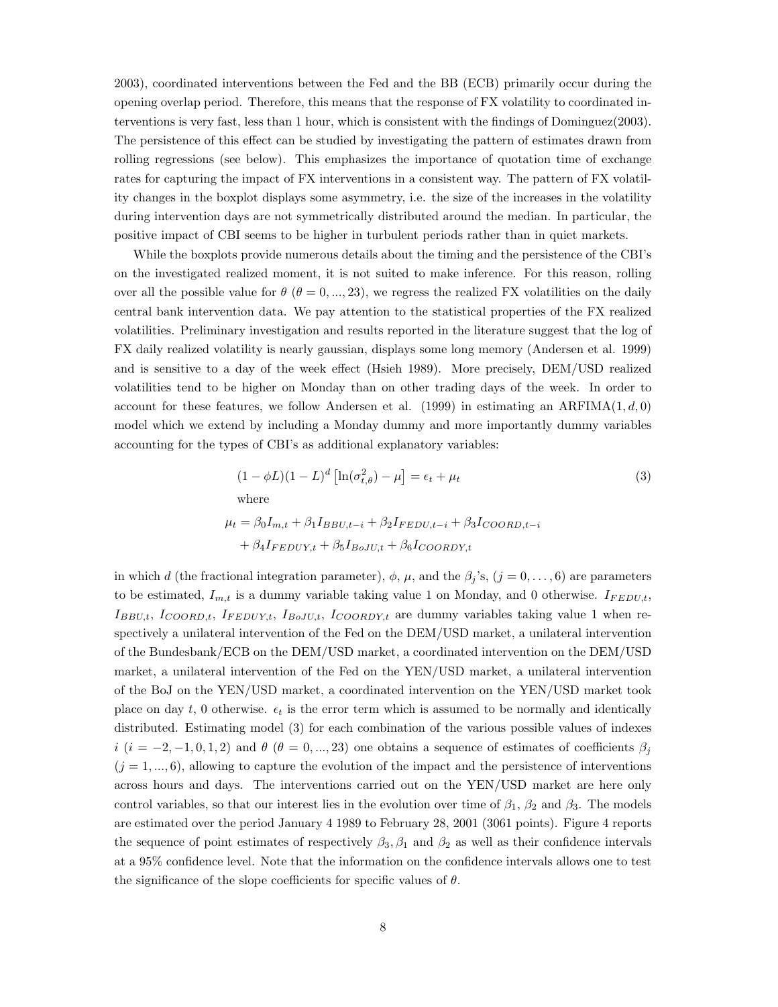2003), coordinated interventions between the Fed and the BB (ECB) primarily occur during the opening overlap period. Therefore, this means that the response of FX volatility to coordinated interventions is very fast, less than 1 hour, which is consistent with the findings of Dominguez(2003). The persistence of this effect can be studied by investigating the pattern of estimates drawn from rolling regressions (see below). This emphasizes the importance of quotation time of exchange rates for capturing the impact of FX interventions in a consistent way. The pattern of FX volatility changes in the boxplot displays some asymmetry, i.e. the size of the increases in the volatility during intervention days are not symmetrically distributed around the median. In particular, the positive impact of CBI seems to be higher in turbulent periods rather than in quiet markets.

While the boxplots provide numerous details about the timing and the persistence of the CBI's on the investigated realized moment, it is not suited to make inference. For this reason, rolling over all the possible value for  $\theta$  ( $\theta = 0, ..., 23$ ), we regress the realized FX volatilities on the daily central bank intervention data. We pay attention to the statistical properties of the FX realized volatilities. Preliminary investigation and results reported in the literature suggest that the log of FX daily realized volatility is nearly gaussian, displays some long memory (Andersen et al. 1999) and is sensitive to a day of the week effect (Hsieh 1989). More precisely, DEM/USD realized volatilities tend to be higher on Monday than on other trading days of the week. In order to account for these features, we follow Andersen et al. (1999) in estimating an ARFIMA $(1, d, 0)$ model which we extend by including a Monday dummy and more importantly dummy variables accounting for the types of CBI's as additional explanatory variables:

$$
(1 - \phi L)(1 - L)^d \left[ \ln(\sigma_{t,\theta}^2) - \mu \right] = \epsilon_t + \mu_t
$$
\n
$$
\text{where}
$$
\n
$$
\mu_t = \beta_0 I_{m,t} + \beta_1 I_{BBU,t-i} + \beta_2 I_{FEDU,t-i} + \beta_3 I_{COORD,t-i}
$$
\n
$$
+ \beta_4 I_{FEDUY,t} + \beta_5 I_{BoJU,t} + \beta_6 I_{COORDY,t}
$$
\n(3)

in which d (the fractional integration parameter),  $\phi$ ,  $\mu$ , and the  $\beta_j$ 's,  $(j = 0, \ldots, 6)$  are parameters to be estimated,  $I_{m,t}$  is a dummy variable taking value 1 on Monday, and 0 otherwise.  $I_{FEDU,t}$ ,  $I_{BBU,t}$ ,  $I_{COORD,t}$ ,  $I_{FEDUY,t}$ ,  $I_{BoJU,t}$ ,  $I_{COORDY,t}$  are dummy variables taking value 1 when respectively a unilateral intervention of the Fed on the DEM/USD market, a unilateral intervention of the Bundesbank/ECB on the DEM/USD market, a coordinated intervention on the DEM/USD market, a unilateral intervention of the Fed on the YEN/USD market, a unilateral intervention of the BoJ on the YEN/USD market, a coordinated intervention on the YEN/USD market took place on day t, 0 otherwise.  $\epsilon_t$  is the error term which is assumed to be normally and identically distributed. Estimating model (3) for each combination of the various possible values of indexes  $i$   $(i = -2, -1, 0, 1, 2)$  and  $\theta$   $(\theta = 0, ..., 23)$  one obtains a sequence of estimates of coefficients  $\beta_j$  $(j = 1, ..., 6)$ , allowing to capture the evolution of the impact and the persistence of interventions across hours and days. The interventions carried out on the YEN/USD market are here only control variables, so that our interest lies in the evolution over time of  $\beta_1$ ,  $\beta_2$  and  $\beta_3$ . The models are estimated over the period January 4 1989 to February 28, 2001 (3061 points). Figure 4 reports the sequence of point estimates of respectively  $\beta_3, \beta_1$  and  $\beta_2$  as well as their confidence intervals at a 95% confidence level. Note that the information on the confidence intervals allows one to test the significance of the slope coefficients for specific values of  $\theta$ .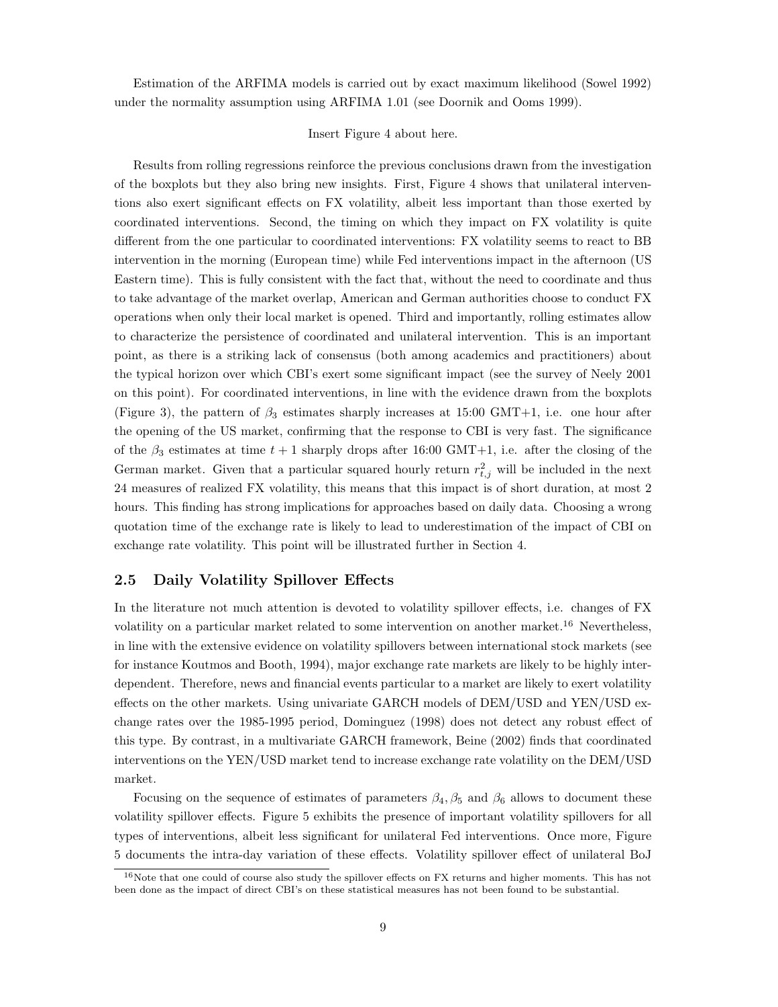Estimation of the ARFIMA models is carried out by exact maximum likelihood (Sowel 1992) under the normality assumption using ARFIMA 1.01 (see Doornik and Ooms 1999).

#### Insert Figure 4 about here.

Results from rolling regressions reinforce the previous conclusions drawn from the investigation of the boxplots but they also bring new insights. First, Figure 4 shows that unilateral interventions also exert significant effects on FX volatility, albeit less important than those exerted by coordinated interventions. Second, the timing on which they impact on FX volatility is quite different from the one particular to coordinated interventions: FX volatility seems to react to BB intervention in the morning (European time) while Fed interventions impact in the afternoon (US Eastern time). This is fully consistent with the fact that, without the need to coordinate and thus to take advantage of the market overlap, American and German authorities choose to conduct FX operations when only their local market is opened. Third and importantly, rolling estimates allow to characterize the persistence of coordinated and unilateral intervention. This is an important point, as there is a striking lack of consensus (both among academics and practitioners) about the typical horizon over which CBI's exert some significant impact (see the survey of Neely 2001 on this point). For coordinated interventions, in line with the evidence drawn from the boxplots (Figure 3), the pattern of  $\beta_3$  estimates sharply increases at 15:00 GMT+1, i.e. one hour after the opening of the US market, confirming that the response to CBI is very fast. The significance of the  $\beta_3$  estimates at time  $t + 1$  sharply drops after 16:00 GMT+1, i.e. after the closing of the German market. Given that a particular squared hourly return  $r_{t,j}^2$  will be included in the next 24 measures of realized FX volatility, this means that this impact is of short duration, at most 2 hours. This finding has strong implications for approaches based on daily data. Choosing a wrong quotation time of the exchange rate is likely to lead to underestimation of the impact of CBI on exchange rate volatility. This point will be illustrated further in Section 4.

#### 2.5 Daily Volatility Spillover Effects

In the literature not much attention is devoted to volatility spillover effects, i.e. changes of FX volatility on a particular market related to some intervention on another market.<sup>16</sup> Nevertheless, in line with the extensive evidence on volatility spillovers between international stock markets (see for instance Koutmos and Booth, 1994), major exchange rate markets are likely to be highly interdependent. Therefore, news and financial events particular to a market are likely to exert volatility effects on the other markets. Using univariate GARCH models of DEM/USD and YEN/USD exchange rates over the 1985-1995 period, Dominguez (1998) does not detect any robust effect of this type. By contrast, in a multivariate GARCH framework, Beine (2002) finds that coordinated interventions on the YEN/USD market tend to increase exchange rate volatility on the DEM/USD market.

Focusing on the sequence of estimates of parameters  $\beta_4, \beta_5$  and  $\beta_6$  allows to document these volatility spillover effects. Figure 5 exhibits the presence of important volatility spillovers for all types of interventions, albeit less significant for unilateral Fed interventions. Once more, Figure 5 documents the intra-day variation of these effects. Volatility spillover effect of unilateral BoJ

<sup>&</sup>lt;sup>16</sup>Note that one could of course also study the spillover effects on FX returns and higher moments. This has not been done as the impact of direct CBI's on these statistical measures has not been found to be substantial.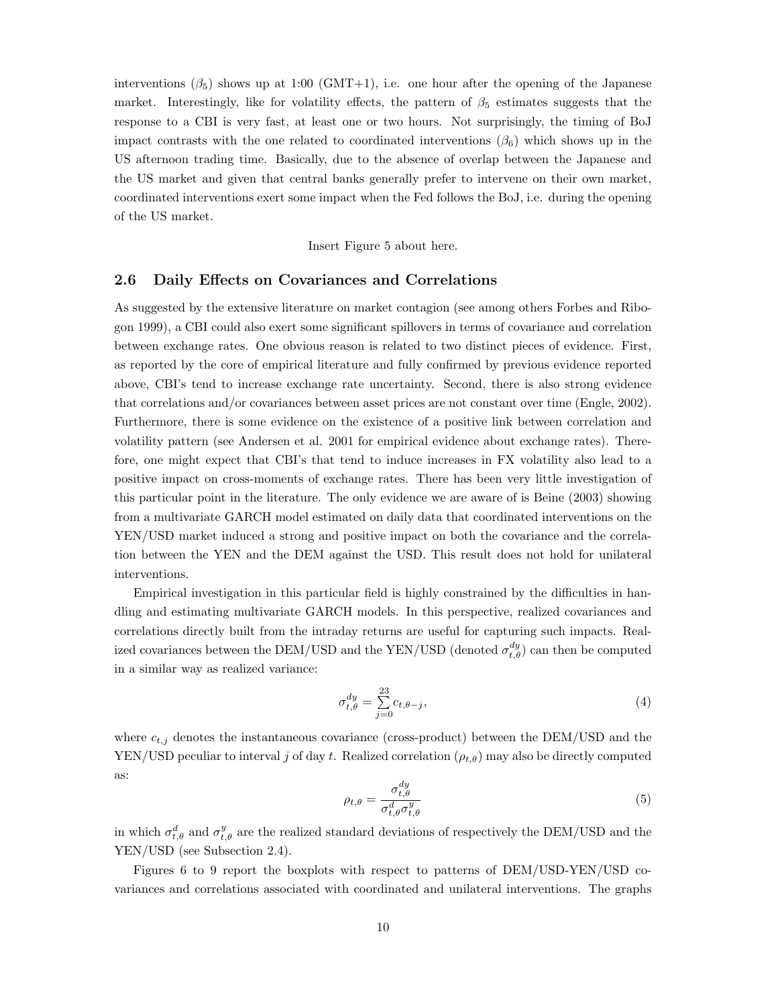interventions  $(\beta_5)$  shows up at 1:00 (GMT+1), i.e. one hour after the opening of the Japanese market. Interestingly, like for volatility effects, the pattern of  $\beta_5$  estimates suggests that the response to a CBI is very fast, at least one or two hours. Not surprisingly, the timing of BoJ impact contrasts with the one related to coordinated interventions  $(\beta_6)$  which shows up in the US afternoon trading time. Basically, due to the absence of overlap between the Japanese and the US market and given that central banks generally prefer to intervene on their own market, coordinated interventions exert some impact when the Fed follows the BoJ, i.e. during the opening of the US market.

Insert Figure 5 about here.

#### 2.6 Daily Effects on Covariances and Correlations

As suggested by the extensive literature on market contagion (see among others Forbes and Ribogon 1999), a CBI could also exert some significant spillovers in terms of covariance and correlation between exchange rates. One obvious reason is related to two distinct pieces of evidence. First, as reported by the core of empirical literature and fully confirmed by previous evidence reported above, CBI's tend to increase exchange rate uncertainty. Second, there is also strong evidence that correlations and/or covariances between asset prices are not constant over time (Engle, 2002). Furthermore, there is some evidence on the existence of a positive link between correlation and volatility pattern (see Andersen et al. 2001 for empirical evidence about exchange rates). Therefore, one might expect that CBI's that tend to induce increases in FX volatility also lead to a positive impact on cross-moments of exchange rates. There has been very little investigation of this particular point in the literature. The only evidence we are aware of is Beine (2003) showing from a multivariate GARCH model estimated on daily data that coordinated interventions on the YEN/USD market induced a strong and positive impact on both the covariance and the correlation between the YEN and the DEM against the USD. This result does not hold for unilateral interventions.

Empirical investigation in this particular field is highly constrained by the difficulties in handling and estimating multivariate GARCH models. In this perspective, realized covariances and correlations directly built from the intraday returns are useful for capturing such impacts. Realized covariances between the DEM/USD and the YEN/USD (denoted  $\sigma_{t,\theta}^{dy}$ ) can then be computed in a similar way as realized variance:

$$
\sigma_{t,\theta}^{dy} = \sum_{j=0}^{23} c_{t,\theta-j},\tag{4}
$$

where  $c_{t,j}$  denotes the instantaneous covariance (cross-product) between the DEM/USD and the YEN/USD peculiar to interval j of day t. Realized correlation  $(\rho_{t,\theta})$  may also be directly computed as:

$$
\rho_{t,\theta} = \frac{\sigma_{t,\theta}^{dy}}{\sigma_{t,\theta}^{d} \sigma_{t,\theta}^{y}} \tag{5}
$$

in which  $\sigma_{t,\theta}^d$  and  $\sigma_{t,\theta}^y$  are the realized standard deviations of respectively the DEM/USD and the YEN/USD (see Subsection 2.4).

Figures 6 to 9 report the boxplots with respect to patterns of DEM/USD-YEN/USD covariances and correlations associated with coordinated and unilateral interventions. The graphs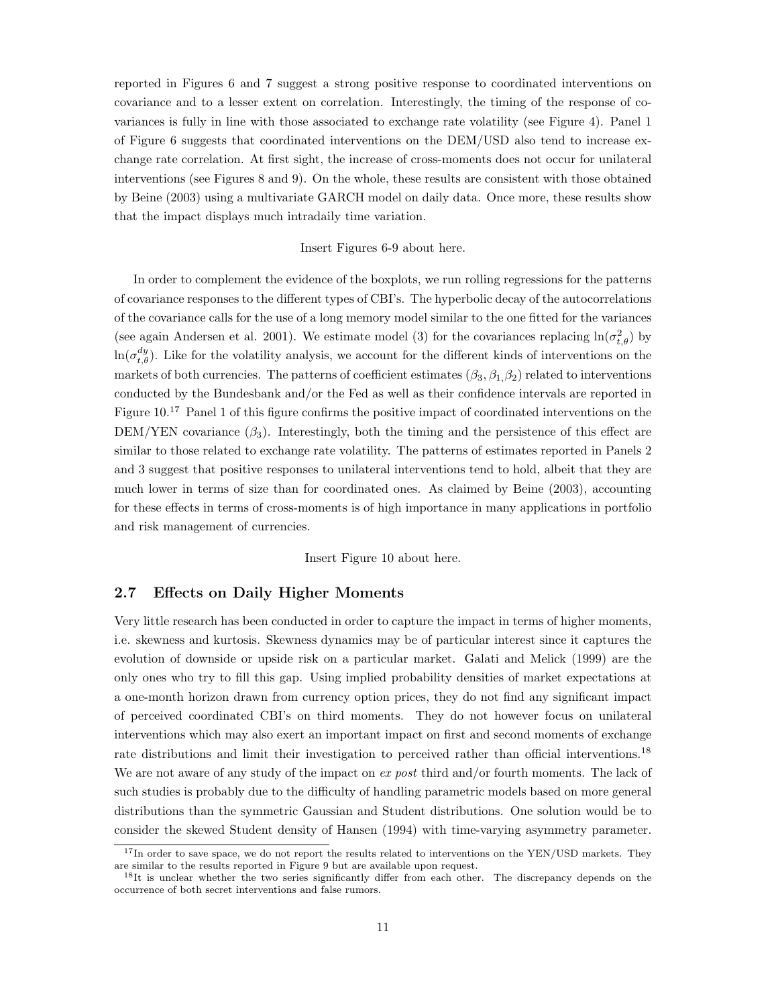reported in Figures 6 and 7 suggest a strong positive response to coordinated interventions on covariance and to a lesser extent on correlation. Interestingly, the timing of the response of covariances is fully in line with those associated to exchange rate volatility (see Figure 4). Panel 1 of Figure 6 suggests that coordinated interventions on the DEM/USD also tend to increase exchange rate correlation. At first sight, the increase of cross-moments does not occur for unilateral interventions (see Figures 8 and 9). On the whole, these results are consistent with those obtained by Beine (2003) using a multivariate GARCH model on daily data. Once more, these results show that the impact displays much intradaily time variation.

#### Insert Figures 6-9 about here.

In order to complement the evidence of the boxplots, we run rolling regressions for the patterns of covariance responses to the different types of CBI's. The hyperbolic decay of the autocorrelations of the covariance calls for the use of a long memory model similar to the one fitted for the variances (see again Andersen et al. 2001). We estimate model (3) for the covariances replacing  $\ln(\sigma_{t,\theta}^2)$  by  $\ln(\sigma_{t,\theta}^{dy})$ . Like for the volatility analysis, we account for the different kinds of interventions on the markets of both currencies. The patterns of coefficient estimates  $(\beta_3, \beta_1, \beta_2)$  related to interventions conducted by the Bundesbank and/or the Fed as well as their confidence intervals are reported in Figure 10.<sup>17</sup> Panel 1 of this figure confirms the positive impact of coordinated interventions on the DEM/YEN covariance  $(\beta_3)$ . Interestingly, both the timing and the persistence of this effect are similar to those related to exchange rate volatility. The patterns of estimates reported in Panels 2 and 3 suggest that positive responses to unilateral interventions tend to hold, albeit that they are much lower in terms of size than for coordinated ones. As claimed by Beine (2003), accounting for these effects in terms of cross-moments is of high importance in many applications in portfolio and risk management of currencies.

#### Insert Figure 10 about here.

#### 2.7 Effects on Daily Higher Moments

Very little research has been conducted in order to capture the impact in terms of higher moments, i.e. skewness and kurtosis. Skewness dynamics may be of particular interest since it captures the evolution of downside or upside risk on a particular market. Galati and Melick (1999) are the only ones who try to fill this gap. Using implied probability densities of market expectations at a one-month horizon drawn from currency option prices, they do not find any significant impact of perceived coordinated CBI's on third moments. They do not however focus on unilateral interventions which may also exert an important impact on first and second moments of exchange rate distributions and limit their investigation to perceived rather than official interventions.<sup>18</sup> We are not aware of any study of the impact on ex post third and/or fourth moments. The lack of such studies is probably due to the difficulty of handling parametric models based on more general distributions than the symmetric Gaussian and Student distributions. One solution would be to consider the skewed Student density of Hansen (1994) with time-varying asymmetry parameter.

<sup>&</sup>lt;sup>17</sup>In order to save space, we do not report the results related to interventions on the YEN/USD markets. They are similar to the results reported in Figure 9 but are available upon request.

<sup>&</sup>lt;sup>18</sup>It is unclear whether the two series significantly differ from each other. The discrepancy depends on the occurrence of both secret interventions and false rumors.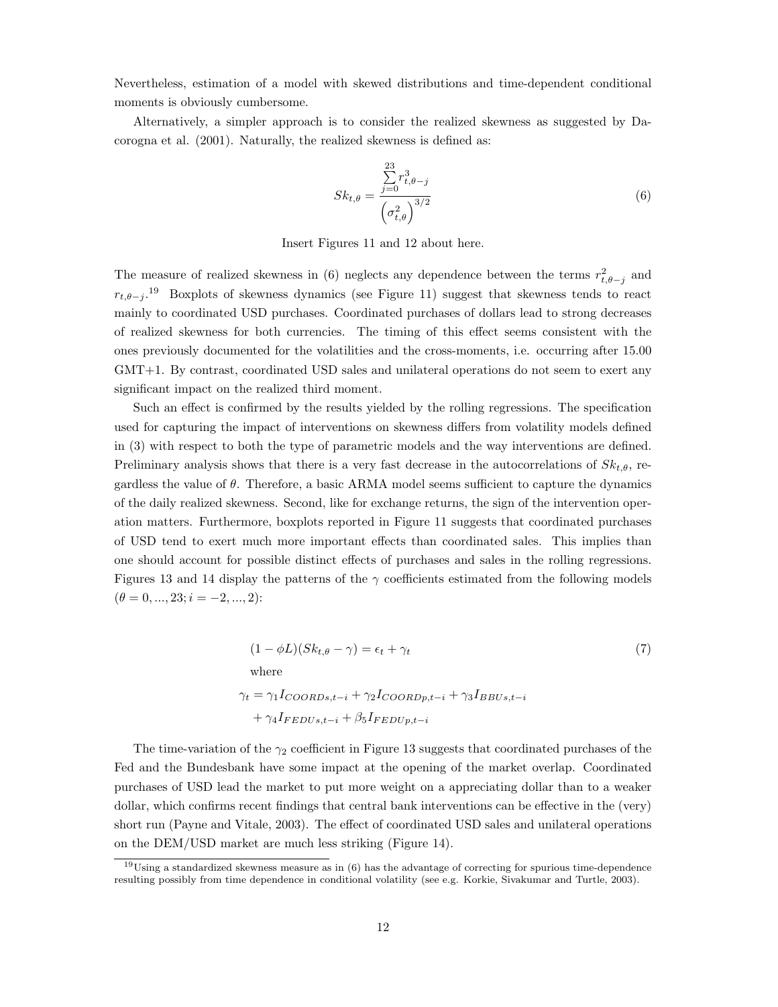Nevertheless, estimation of a model with skewed distributions and time-dependent conditional moments is obviously cumbersome.

Alternatively, a simpler approach is to consider the realized skewness as suggested by Dacorogna et al. (2001). Naturally, the realized skewness is defined as:

$$
Sk_{t,\theta} = \frac{\sum_{j=0}^{23} r_{t,\theta-j}^3}{\left(\sigma_{t,\theta}^2\right)^{3/2}}
$$
(6)

Insert Figures 11 and 12 about here.

The measure of realized skewness in (6) neglects any dependence between the terms  $r_{t,\theta-j}^2$  and  $r_{t,\theta-j}$ .<sup>19</sup> Boxplots of skewness dynamics (see Figure 11) suggest that skewness tends to react mainly to coordinated USD purchases. Coordinated purchases of dollars lead to strong decreases of realized skewness for both currencies. The timing of this effect seems consistent with the ones previously documented for the volatilities and the cross-moments, i.e. occurring after 15.00 GMT+1. By contrast, coordinated USD sales and unilateral operations do not seem to exert any significant impact on the realized third moment.

Such an effect is confirmed by the results yielded by the rolling regressions. The specification used for capturing the impact of interventions on skewness differs from volatility models defined in (3) with respect to both the type of parametric models and the way interventions are defined. Preliminary analysis shows that there is a very fast decrease in the autocorrelations of  $Sk_{t,\theta}$ , regardless the value of  $\theta$ . Therefore, a basic ARMA model seems sufficient to capture the dynamics of the daily realized skewness. Second, like for exchange returns, the sign of the intervention operation matters. Furthermore, boxplots reported in Figure 11 suggests that coordinated purchases of USD tend to exert much more important effects than coordinated sales. This implies than one should account for possible distinct effects of purchases and sales in the rolling regressions. Figures 13 and 14 display the patterns of the  $\gamma$  coefficients estimated from the following models  $(\theta = 0, ..., 23; i = -2, ..., 2)$ :

$$
(1 - \phi L)(Sk_{t, \theta} - \gamma) = \epsilon_t + \gamma_t
$$
  
\nwhere  
\n
$$
\gamma_t = \gamma_1 I_{COORDs, t-i} + \gamma_2 I_{COORDp, t-i} + \gamma_3 I_{BBUs, t-i}
$$
  
\n
$$
+ \gamma_4 I_{FEDUs, t-i} + \beta_5 I_{FEDUp, t-i}
$$
\n(7)

The time-variation of the  $\gamma_2$  coefficient in Figure 13 suggests that coordinated purchases of the Fed and the Bundesbank have some impact at the opening of the market overlap. Coordinated purchases of USD lead the market to put more weight on a appreciating dollar than to a weaker dollar, which confirms recent findings that central bank interventions can be effective in the (very) short run (Payne and Vitale, 2003). The effect of coordinated USD sales and unilateral operations on the DEM/USD market are much less striking (Figure 14).

 $19$ Using a standardized skewness measure as in  $(6)$  has the advantage of correcting for spurious time-dependence resulting possibly from time dependence in conditional volatility (see e.g. Korkie, Sivakumar and Turtle, 2003).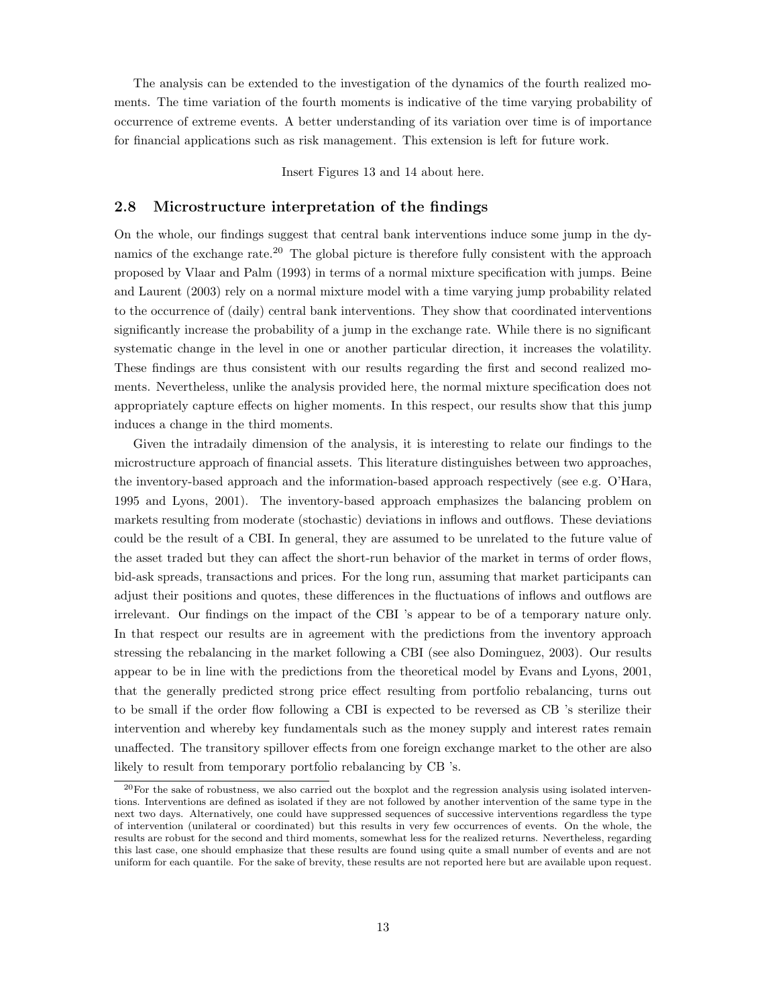The analysis can be extended to the investigation of the dynamics of the fourth realized moments. The time variation of the fourth moments is indicative of the time varying probability of occurrence of extreme events. A better understanding of its variation over time is of importance for financial applications such as risk management. This extension is left for future work.

Insert Figures 13 and 14 about here.

#### 2.8 Microstructure interpretation of the findings

On the whole, our findings suggest that central bank interventions induce some jump in the dynamics of the exchange rate.<sup>20</sup> The global picture is therefore fully consistent with the approach proposed by Vlaar and Palm (1993) in terms of a normal mixture specification with jumps. Beine and Laurent (2003) rely on a normal mixture model with a time varying jump probability related to the occurrence of (daily) central bank interventions. They show that coordinated interventions significantly increase the probability of a jump in the exchange rate. While there is no significant systematic change in the level in one or another particular direction, it increases the volatility. These findings are thus consistent with our results regarding the first and second realized moments. Nevertheless, unlike the analysis provided here, the normal mixture specification does not appropriately capture effects on higher moments. In this respect, our results show that this jump induces a change in the third moments.

Given the intradaily dimension of the analysis, it is interesting to relate our findings to the microstructure approach of financial assets. This literature distinguishes between two approaches, the inventory-based approach and the information-based approach respectively (see e.g. O'Hara, 1995 and Lyons, 2001). The inventory-based approach emphasizes the balancing problem on markets resulting from moderate (stochastic) deviations in inflows and outflows. These deviations could be the result of a CBI. In general, they are assumed to be unrelated to the future value of the asset traded but they can affect the short-run behavior of the market in terms of order flows, bid-ask spreads, transactions and prices. For the long run, assuming that market participants can adjust their positions and quotes, these differences in the fluctuations of inflows and outflows are irrelevant. Our findings on the impact of the CBI 's appear to be of a temporary nature only. In that respect our results are in agreement with the predictions from the inventory approach stressing the rebalancing in the market following a CBI (see also Dominguez, 2003). Our results appear to be in line with the predictions from the theoretical model by Evans and Lyons, 2001, that the generally predicted strong price effect resulting from portfolio rebalancing, turns out to be small if the order flow following a CBI is expected to be reversed as CB 's sterilize their intervention and whereby key fundamentals such as the money supply and interest rates remain unaffected. The transitory spillover effects from one foreign exchange market to the other are also likely to result from temporary portfolio rebalancing by CB 's.

 $20$ For the sake of robustness, we also carried out the boxplot and the regression analysis using isolated interventions. Interventions are defined as isolated if they are not followed by another intervention of the same type in the next two days. Alternatively, one could have suppressed sequences of successive interventions regardless the type of intervention (unilateral or coordinated) but this results in very few occurrences of events. On the whole, the results are robust for the second and third moments, somewhat less for the realized returns. Nevertheless, regarding this last case, one should emphasize that these results are found using quite a small number of events and are not uniform for each quantile. For the sake of brevity, these results are not reported here but are available upon request.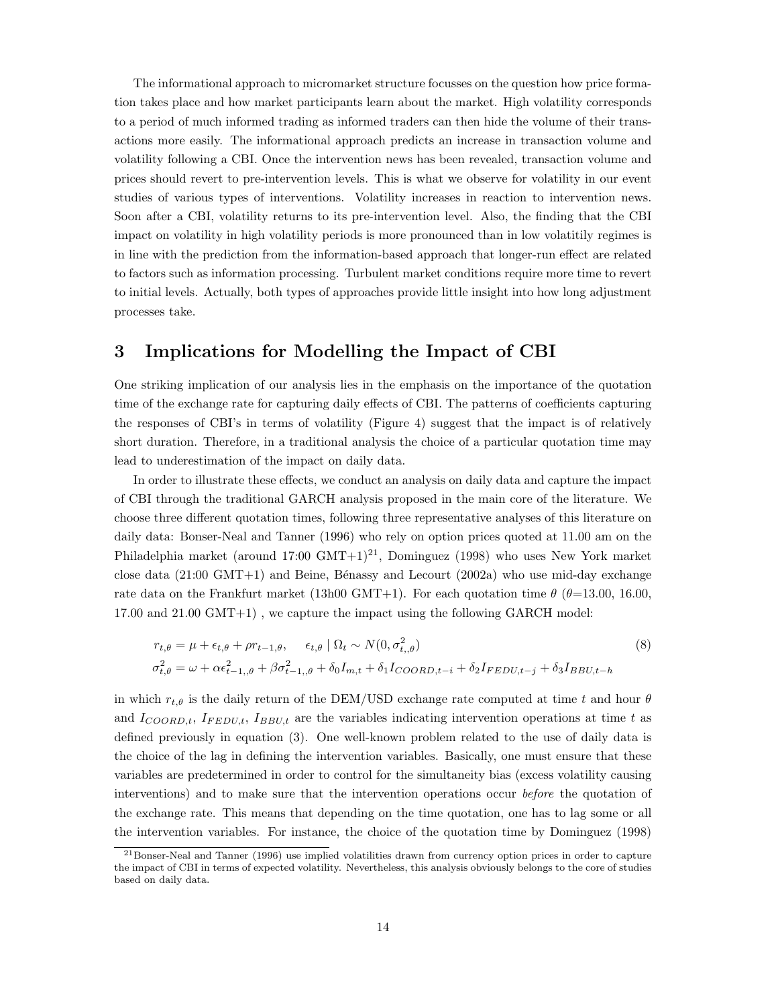The informational approach to micromarket structure focusses on the question how price formation takes place and how market participants learn about the market. High volatility corresponds to a period of much informed trading as informed traders can then hide the volume of their transactions more easily. The informational approach predicts an increase in transaction volume and volatility following a CBI. Once the intervention news has been revealed, transaction volume and prices should revert to pre-intervention levels. This is what we observe for volatility in our event studies of various types of interventions. Volatility increases in reaction to intervention news. Soon after a CBI, volatility returns to its pre-intervention level. Also, the finding that the CBI impact on volatility in high volatility periods is more pronounced than in low volatitily regimes is in line with the prediction from the information-based approach that longer-run effect are related to factors such as information processing. Turbulent market conditions require more time to revert to initial levels. Actually, both types of approaches provide little insight into how long adjustment processes take.

## 3 Implications for Modelling the Impact of CBI

One striking implication of our analysis lies in the emphasis on the importance of the quotation time of the exchange rate for capturing daily effects of CBI. The patterns of coefficients capturing the responses of CBI's in terms of volatility (Figure 4) suggest that the impact is of relatively short duration. Therefore, in a traditional analysis the choice of a particular quotation time may lead to underestimation of the impact on daily data.

In order to illustrate these effects, we conduct an analysis on daily data and capture the impact of CBI through the traditional GARCH analysis proposed in the main core of the literature. We choose three different quotation times, following three representative analyses of this literature on daily data: Bonser-Neal and Tanner (1996) who rely on option prices quoted at 11.00 am on the Philadelphia market (around  $17:00 \text{ GMT+1}^{21}$ , Dominguez (1998) who uses New York market close data  $(21:00 \text{ GMT+1})$  and Beine, Bénassy and Lecourt  $(2002a)$  who use mid-day exchange rate data on the Frankfurt market (13h00 GMT+1). For each quotation time  $\theta$  ( $\theta$ =13.00, 16.00, 17.00 and 21.00 GMT+1) , we capture the impact using the following GARCH model:

$$
r_{t,\theta} = \mu + \epsilon_{t,\theta} + \rho r_{t-1,\theta}, \quad \epsilon_{t,\theta} \mid \Omega_t \sim N(0, \sigma_{t,\theta}^2)
$$
\n
$$
\sigma_{t,\theta}^2 = \omega + \alpha \epsilon_{t-1,\theta}^2 + \beta \sigma_{t-1,\theta}^2 + \delta_0 I_{m,t} + \delta_1 I_{COORD,t-i} + \delta_2 I_{FEDU,t-j} + \delta_3 I_{BBU,t-h}
$$
\n
$$
(8)
$$

in which  $r_{t,\theta}$  is the daily return of the DEM/USD exchange rate computed at time t and hour  $\theta$ and  $I_{COORD,t}$ ,  $I_{FEDU,t}$ ,  $I_{BBU,t}$  are the variables indicating intervention operations at time t as defined previously in equation (3). One well-known problem related to the use of daily data is the choice of the lag in defining the intervention variables. Basically, one must ensure that these variables are predetermined in order to control for the simultaneity bias (excess volatility causing interventions) and to make sure that the intervention operations occur before the quotation of the exchange rate. This means that depending on the time quotation, one has to lag some or all the intervention variables. For instance, the choice of the quotation time by Dominguez (1998)

<sup>21</sup>Bonser-Neal and Tanner (1996) use implied volatilities drawn from currency option prices in order to capture the impact of CBI in terms of expected volatility. Nevertheless, this analysis obviously belongs to the core of studies based on daily data.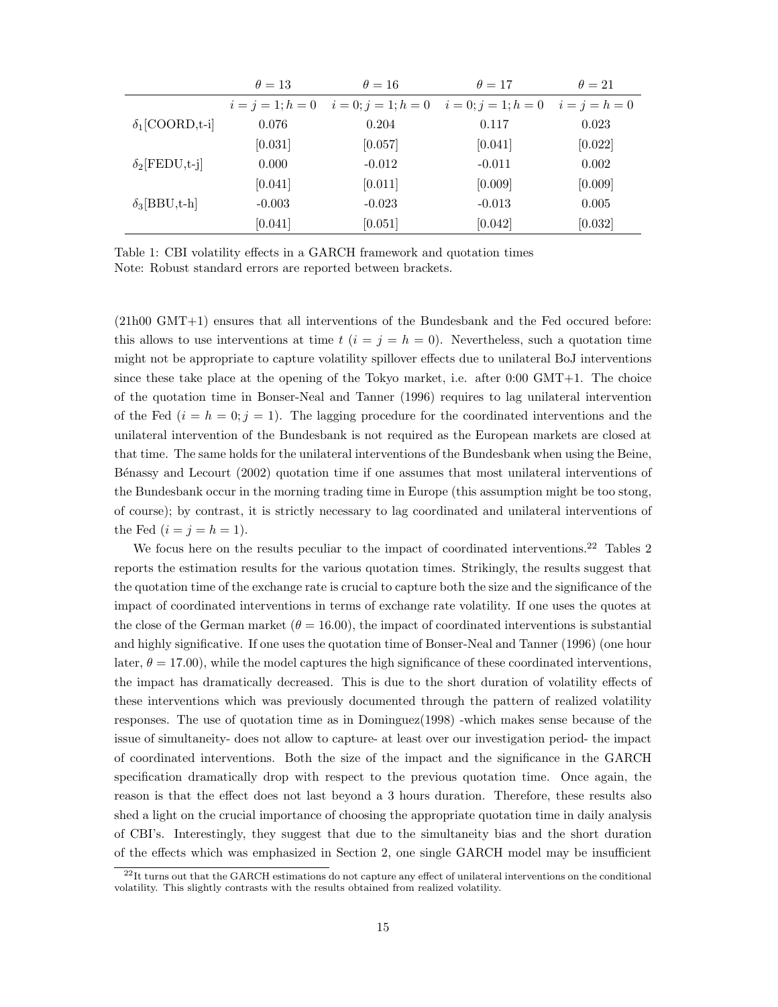|                        | $\theta = 13$ | $\theta = 16$                            | $\theta = 17$         | $\theta = 21$   |
|------------------------|---------------|------------------------------------------|-----------------------|-----------------|
|                        |               | $i = j = 1; h = 0$ $i = 0; j = 1; h = 0$ | $i = 0; j = 1; h = 0$ | $i = j = h = 0$ |
| $\delta_1$ [COORD,t-i] | 0.076         | 0.204                                    | 0.117                 | 0.023           |
|                        | [0.031]       | [0.057]                                  | [0.041]               | [0.022]         |
| $\delta_2$ [FEDU,t-j]  | 0.000         | $-0.012$                                 | $-0.011$              | 0.002           |
|                        | [0.041]       | [0.011]                                  | [0.009]               | [0.009]         |
| $\delta_3[BBU,t-h]$    | $-0.003$      | $-0.023$                                 | $-0.013$              | 0.005           |
|                        | [0.041]       | [0.051]                                  | [0.042]               | [0.032]         |

Table 1: CBI volatility effects in a GARCH framework and quotation times Note: Robust standard errors are reported between brackets.

(21h00 GMT+1) ensures that all interventions of the Bundesbank and the Fed occured before: this allows to use interventions at time  $t$   $(i = j = h = 0)$ . Nevertheless, such a quotation time might not be appropriate to capture volatility spillover effects due to unilateral BoJ interventions since these take place at the opening of the Tokyo market, i.e. after 0:00 GMT+1. The choice of the quotation time in Bonser-Neal and Tanner (1996) requires to lag unilateral intervention of the Fed  $(i = h = 0; j = 1)$ . The lagging procedure for the coordinated interventions and the unilateral intervention of the Bundesbank is not required as the European markets are closed at that time. The same holds for the unilateral interventions of the Bundesbank when using the Beine, B´enassy and Lecourt (2002) quotation time if one assumes that most unilateral interventions of the Bundesbank occur in the morning trading time in Europe (this assumption might be too stong, of course); by contrast, it is strictly necessary to lag coordinated and unilateral interventions of the Fed  $(i = j = h = 1)$ .

We focus here on the results peculiar to the impact of coordinated interventions.<sup>22</sup> Tables 2 reports the estimation results for the various quotation times. Strikingly, the results suggest that the quotation time of the exchange rate is crucial to capture both the size and the significance of the impact of coordinated interventions in terms of exchange rate volatility. If one uses the quotes at the close of the German market  $(\theta = 16.00)$ , the impact of coordinated interventions is substantial and highly significative. If one uses the quotation time of Bonser-Neal and Tanner (1996) (one hour later,  $\theta = 17.00$ , while the model captures the high significance of these coordinated interventions, the impact has dramatically decreased. This is due to the short duration of volatility effects of these interventions which was previously documented through the pattern of realized volatility responses. The use of quotation time as in Dominguez(1998) -which makes sense because of the issue of simultaneity- does not allow to capture- at least over our investigation period- the impact of coordinated interventions. Both the size of the impact and the significance in the GARCH specification dramatically drop with respect to the previous quotation time. Once again, the reason is that the effect does not last beyond a 3 hours duration. Therefore, these results also shed a light on the crucial importance of choosing the appropriate quotation time in daily analysis of CBI's. Interestingly, they suggest that due to the simultaneity bias and the short duration of the effects which was emphasized in Section 2, one single GARCH model may be insufficient

<sup>&</sup>lt;sup>22</sup>It turns out that the GARCH estimations do not capture any effect of unilateral interventions on the conditional volatility. This slightly contrasts with the results obtained from realized volatility.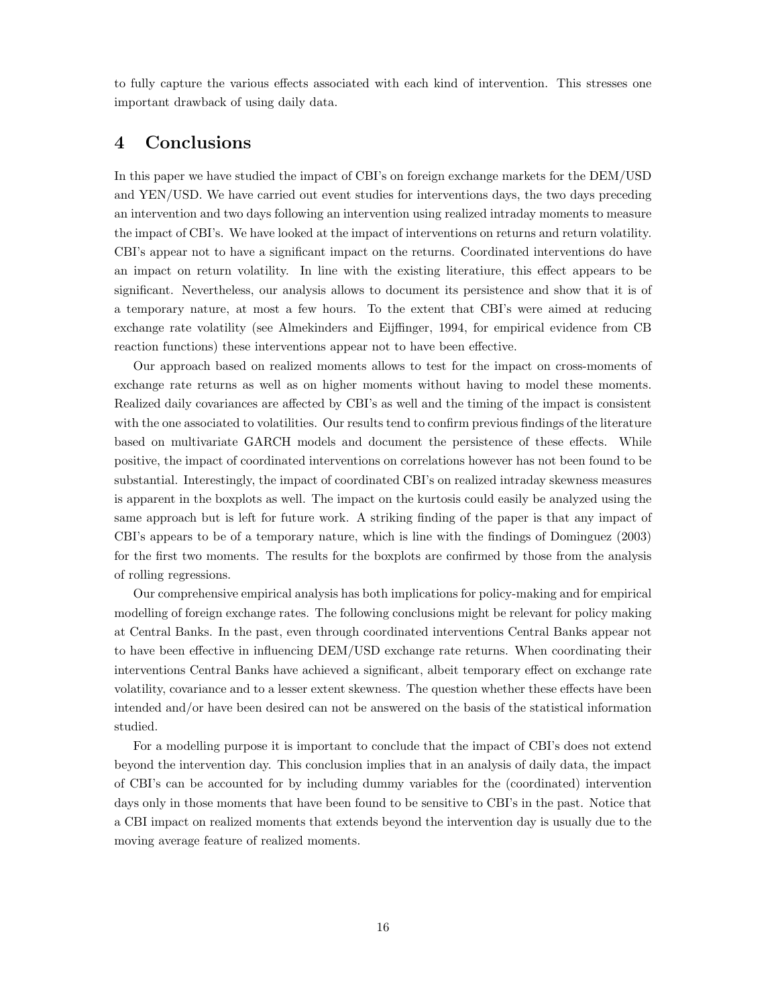to fully capture the various effects associated with each kind of intervention. This stresses one important drawback of using daily data.

### 4 Conclusions

In this paper we have studied the impact of CBI's on foreign exchange markets for the DEM/USD and YEN/USD. We have carried out event studies for interventions days, the two days preceding an intervention and two days following an intervention using realized intraday moments to measure the impact of CBI's. We have looked at the impact of interventions on returns and return volatility. CBI's appear not to have a significant impact on the returns. Coordinated interventions do have an impact on return volatility. In line with the existing literatiure, this effect appears to be significant. Nevertheless, our analysis allows to document its persistence and show that it is of a temporary nature, at most a few hours. To the extent that CBI's were aimed at reducing exchange rate volatility (see Almekinders and Eijffinger, 1994, for empirical evidence from CB reaction functions) these interventions appear not to have been effective.

Our approach based on realized moments allows to test for the impact on cross-moments of exchange rate returns as well as on higher moments without having to model these moments. Realized daily covariances are affected by CBI's as well and the timing of the impact is consistent with the one associated to volatilities. Our results tend to confirm previous findings of the literature based on multivariate GARCH models and document the persistence of these effects. While positive, the impact of coordinated interventions on correlations however has not been found to be substantial. Interestingly, the impact of coordinated CBI's on realized intraday skewness measures is apparent in the boxplots as well. The impact on the kurtosis could easily be analyzed using the same approach but is left for future work. A striking finding of the paper is that any impact of CBI's appears to be of a temporary nature, which is line with the findings of Dominguez (2003) for the first two moments. The results for the boxplots are confirmed by those from the analysis of rolling regressions.

Our comprehensive empirical analysis has both implications for policy-making and for empirical modelling of foreign exchange rates. The following conclusions might be relevant for policy making at Central Banks. In the past, even through coordinated interventions Central Banks appear not to have been effective in influencing DEM/USD exchange rate returns. When coordinating their interventions Central Banks have achieved a significant, albeit temporary effect on exchange rate volatility, covariance and to a lesser extent skewness. The question whether these effects have been intended and/or have been desired can not be answered on the basis of the statistical information studied.

For a modelling purpose it is important to conclude that the impact of CBI's does not extend beyond the intervention day. This conclusion implies that in an analysis of daily data, the impact of CBI's can be accounted for by including dummy variables for the (coordinated) intervention days only in those moments that have been found to be sensitive to CBI's in the past. Notice that a CBI impact on realized moments that extends beyond the intervention day is usually due to the moving average feature of realized moments.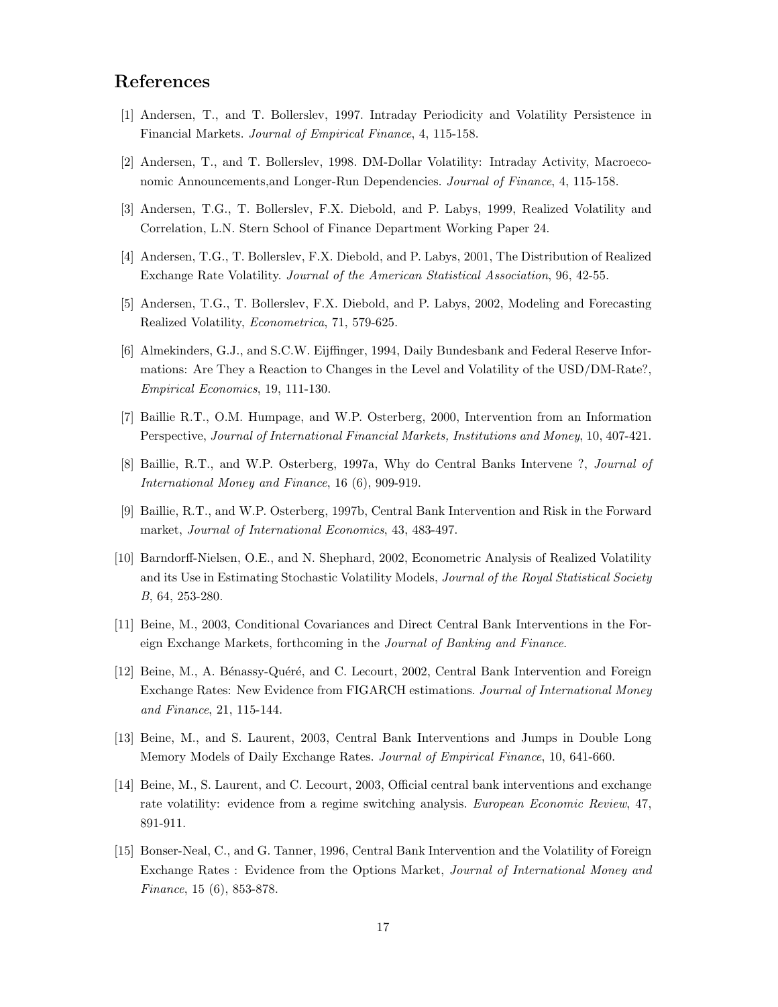## References

- [1] Andersen, T., and T. Bollerslev, 1997. Intraday Periodicity and Volatility Persistence in Financial Markets. Journal of Empirical Finance, 4, 115-158.
- [2] Andersen, T., and T. Bollerslev, 1998. DM-Dollar Volatility: Intraday Activity, Macroeconomic Announcements, and Longer-Run Dependencies. Journal of Finance, 4, 115-158.
- [3] Andersen, T.G., T. Bollerslev, F.X. Diebold, and P. Labys, 1999, Realized Volatility and Correlation, L.N. Stern School of Finance Department Working Paper 24.
- [4] Andersen, T.G., T. Bollerslev, F.X. Diebold, and P. Labys, 2001, The Distribution of Realized Exchange Rate Volatility. Journal of the American Statistical Association, 96, 42-55.
- [5] Andersen, T.G., T. Bollerslev, F.X. Diebold, and P. Labys, 2002, Modeling and Forecasting Realized Volatility, Econometrica, 71, 579-625.
- [6] Almekinders, G.J., and S.C.W. Eijffinger, 1994, Daily Bundesbank and Federal Reserve Informations: Are They a Reaction to Changes in the Level and Volatility of the USD/DM-Rate?, Empirical Economics, 19, 111-130.
- [7] Baillie R.T., O.M. Humpage, and W.P. Osterberg, 2000, Intervention from an Information Perspective, Journal of International Financial Markets, Institutions and Money, 10, 407-421.
- [8] Baillie, R.T., and W.P. Osterberg, 1997a, Why do Central Banks Intervene ?, Journal of International Money and Finance, 16 (6), 909-919.
- [9] Baillie, R.T., and W.P. Osterberg, 1997b, Central Bank Intervention and Risk in the Forward market, Journal of International Economics, 43, 483-497.
- [10] Barndorff-Nielsen, O.E., and N. Shephard, 2002, Econometric Analysis of Realized Volatility and its Use in Estimating Stochastic Volatility Models, Journal of the Royal Statistical Society B, 64, 253-280.
- [11] Beine, M., 2003, Conditional Covariances and Direct Central Bank Interventions in the Foreign Exchange Markets, forthcoming in the Journal of Banking and Finance.
- [12] Beine, M., A. Bénassy-Quéré, and C. Lecourt, 2002, Central Bank Intervention and Foreign Exchange Rates: New Evidence from FIGARCH estimations. Journal of International Money and Finance, 21, 115-144.
- [13] Beine, M., and S. Laurent, 2003, Central Bank Interventions and Jumps in Double Long Memory Models of Daily Exchange Rates. Journal of Empirical Finance, 10, 641-660.
- [14] Beine, M., S. Laurent, and C. Lecourt, 2003, Official central bank interventions and exchange rate volatility: evidence from a regime switching analysis. European Economic Review, 47, 891-911.
- [15] Bonser-Neal, C., and G. Tanner, 1996, Central Bank Intervention and the Volatility of Foreign Exchange Rates : Evidence from the Options Market, Journal of International Money and Finance, 15 (6), 853-878.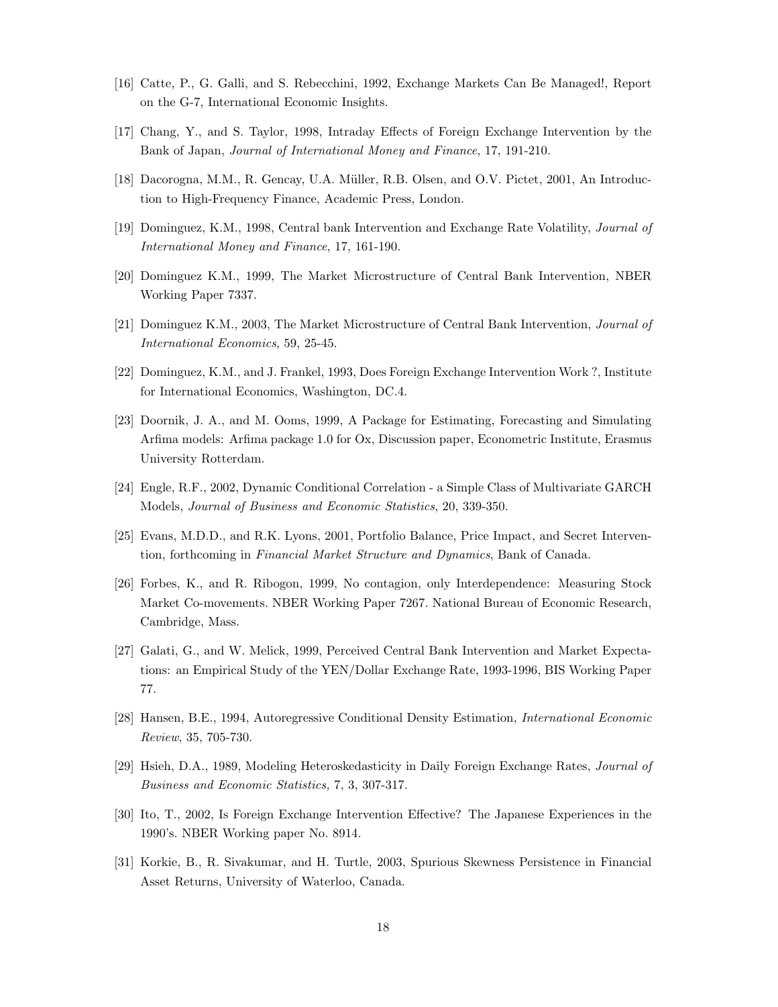- [16] Catte, P., G. Galli, and S. Rebecchini, 1992, Exchange Markets Can Be Managed!, Report on the G-7, International Economic Insights.
- [17] Chang, Y., and S. Taylor, 1998, Intraday Effects of Foreign Exchange Intervention by the Bank of Japan, Journal of International Money and Finance, 17, 191-210.
- [18] Dacorogna, M.M., R. Gencay, U.A. Müller, R.B. Olsen, and O.V. Pictet, 2001, An Introduction to High-Frequency Finance, Academic Press, London.
- [19] Dominguez, K.M., 1998, Central bank Intervention and Exchange Rate Volatility, Journal of International Money and Finance, 17, 161-190.
- [20] Dominguez K.M., 1999, The Market Microstructure of Central Bank Intervention, NBER Working Paper 7337.
- [21] Dominguez K.M., 2003, The Market Microstructure of Central Bank Intervention, Journal of International Economics, 59, 25-45.
- [22] Dominguez, K.M., and J. Frankel, 1993, Does Foreign Exchange Intervention Work ?, Institute for International Economics, Washington, DC.4.
- [23] Doornik, J. A., and M. Ooms, 1999, A Package for Estimating, Forecasting and Simulating Arfima models: Arfima package 1.0 for Ox, Discussion paper, Econometric Institute, Erasmus University Rotterdam.
- [24] Engle, R.F., 2002, Dynamic Conditional Correlation a Simple Class of Multivariate GARCH Models, Journal of Business and Economic Statistics, 20, 339-350.
- [25] Evans, M.D.D., and R.K. Lyons, 2001, Portfolio Balance, Price Impact, and Secret Intervention, forthcoming in Financial Market Structure and Dynamics, Bank of Canada.
- [26] Forbes, K., and R. Ribogon, 1999, No contagion, only Interdependence: Measuring Stock Market Co-movements. NBER Working Paper 7267. National Bureau of Economic Research, Cambridge, Mass.
- [27] Galati, G., and W. Melick, 1999, Perceived Central Bank Intervention and Market Expectations: an Empirical Study of the YEN/Dollar Exchange Rate, 1993-1996, BIS Working Paper 77.
- [28] Hansen, B.E., 1994, Autoregressive Conditional Density Estimation, International Economic Review, 35, 705-730.
- [29] Hsieh, D.A., 1989, Modeling Heteroskedasticity in Daily Foreign Exchange Rates, Journal of Business and Economic Statistics, 7, 3, 307-317.
- [30] Ito, T., 2002, Is Foreign Exchange Intervention Effective? The Japanese Experiences in the 1990's. NBER Working paper No. 8914.
- [31] Korkie, B., R. Sivakumar, and H. Turtle, 2003, Spurious Skewness Persistence in Financial Asset Returns, University of Waterloo, Canada.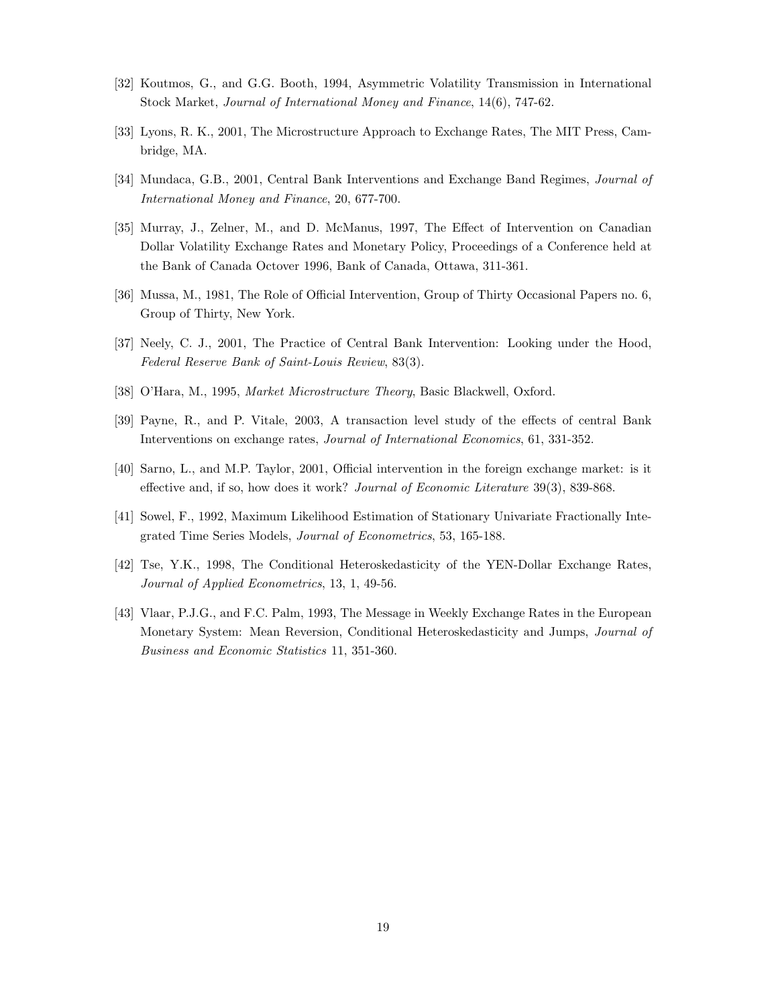- [32] Koutmos, G., and G.G. Booth, 1994, Asymmetric Volatility Transmission in International Stock Market, Journal of International Money and Finance, 14(6), 747-62.
- [33] Lyons, R. K., 2001, The Microstructure Approach to Exchange Rates, The MIT Press, Cambridge, MA.
- [34] Mundaca, G.B., 2001, Central Bank Interventions and Exchange Band Regimes, Journal of International Money and Finance, 20, 677-700.
- [35] Murray, J., Zelner, M., and D. McManus, 1997, The Effect of Intervention on Canadian Dollar Volatility Exchange Rates and Monetary Policy, Proceedings of a Conference held at the Bank of Canada Octover 1996, Bank of Canada, Ottawa, 311-361.
- [36] Mussa, M., 1981, The Role of Official Intervention, Group of Thirty Occasional Papers no. 6, Group of Thirty, New York.
- [37] Neely, C. J., 2001, The Practice of Central Bank Intervention: Looking under the Hood, Federal Reserve Bank of Saint-Louis Review, 83(3).
- [38] O'Hara, M., 1995, Market Microstructure Theory, Basic Blackwell, Oxford.
- [39] Payne, R., and P. Vitale, 2003, A transaction level study of the effects of central Bank Interventions on exchange rates, Journal of International Economics, 61, 331-352.
- [40] Sarno, L., and M.P. Taylor, 2001, Official intervention in the foreign exchange market: is it effective and, if so, how does it work? Journal of Economic Literature 39(3), 839-868.
- [41] Sowel, F., 1992, Maximum Likelihood Estimation of Stationary Univariate Fractionally Integrated Time Series Models, Journal of Econometrics, 53, 165-188.
- [42] Tse, Y.K., 1998, The Conditional Heteroskedasticity of the YEN-Dollar Exchange Rates, Journal of Applied Econometrics, 13, 1, 49-56.
- [43] Vlaar, P.J.G., and F.C. Palm, 1993, The Message in Weekly Exchange Rates in the European Monetary System: Mean Reversion, Conditional Heteroskedasticity and Jumps, Journal of Business and Economic Statistics 11, 351-360.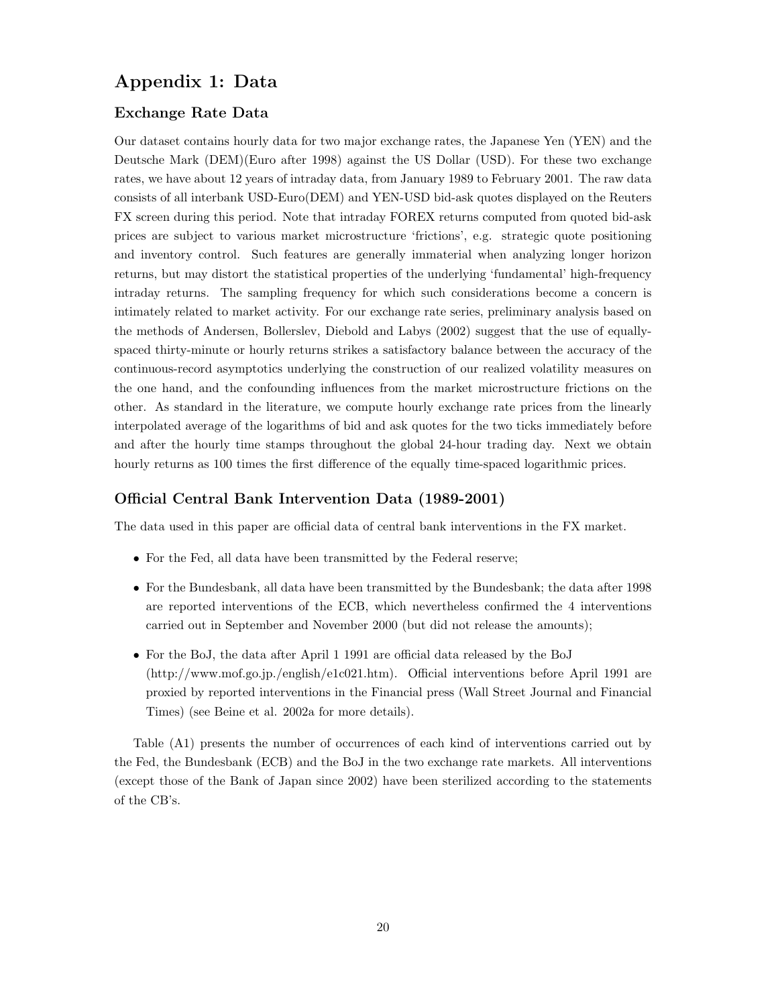## Appendix 1: Data

#### Exchange Rate Data

Our dataset contains hourly data for two major exchange rates, the Japanese Yen (YEN) and the Deutsche Mark (DEM)(Euro after 1998) against the US Dollar (USD). For these two exchange rates, we have about 12 years of intraday data, from January 1989 to February 2001. The raw data consists of all interbank USD-Euro(DEM) and YEN-USD bid-ask quotes displayed on the Reuters FX screen during this period. Note that intraday FOREX returns computed from quoted bid-ask prices are subject to various market microstructure 'frictions', e.g. strategic quote positioning and inventory control. Such features are generally immaterial when analyzing longer horizon returns, but may distort the statistical properties of the underlying 'fundamental' high-frequency intraday returns. The sampling frequency for which such considerations become a concern is intimately related to market activity. For our exchange rate series, preliminary analysis based on the methods of Andersen, Bollerslev, Diebold and Labys (2002) suggest that the use of equallyspaced thirty-minute or hourly returns strikes a satisfactory balance between the accuracy of the continuous-record asymptotics underlying the construction of our realized volatility measures on the one hand, and the confounding influences from the market microstructure frictions on the other. As standard in the literature, we compute hourly exchange rate prices from the linearly interpolated average of the logarithms of bid and ask quotes for the two ticks immediately before and after the hourly time stamps throughout the global 24-hour trading day. Next we obtain hourly returns as 100 times the first difference of the equally time-spaced logarithmic prices.

#### Official Central Bank Intervention Data (1989-2001)

The data used in this paper are official data of central bank interventions in the FX market.

- For the Fed, all data have been transmitted by the Federal reserve;
- For the Bundesbank, all data have been transmitted by the Bundesbank; the data after 1998 are reported interventions of the ECB, which nevertheless confirmed the 4 interventions carried out in September and November 2000 (but did not release the amounts);
- For the BoJ, the data after April 1 1991 are official data released by the BoJ (http://www.mof.go.jp./english/e1c021.htm). Official interventions before April 1991 are proxied by reported interventions in the Financial press (Wall Street Journal and Financial Times) (see Beine et al. 2002a for more details).

Table (A1) presents the number of occurrences of each kind of interventions carried out by the Fed, the Bundesbank (ECB) and the BoJ in the two exchange rate markets. All interventions (except those of the Bank of Japan since 2002) have been sterilized according to the statements of the CB's.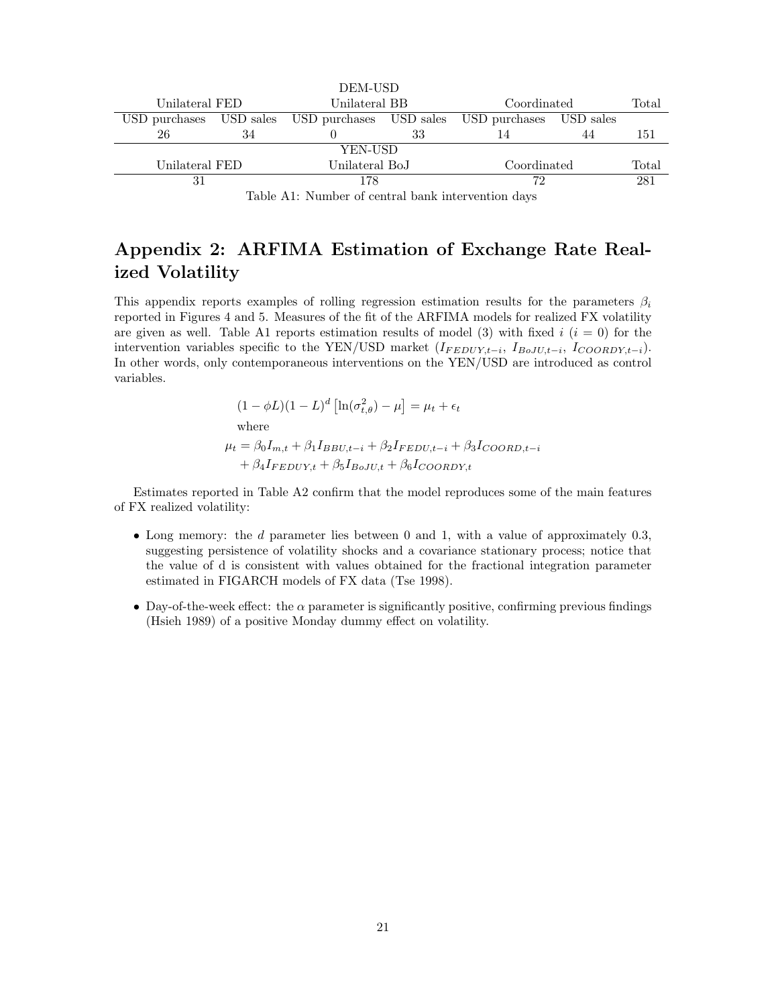|                                                                                                      |           | DEM-USD                               |    |             |           |       |  |
|------------------------------------------------------------------------------------------------------|-----------|---------------------------------------|----|-------------|-----------|-------|--|
| Unilateral FED                                                                                       |           | Unilateral BB                         |    | Coordinated |           | Total |  |
| USD purchases                                                                                        | USD sales | USD purchases USD sales USD purchases |    |             | USD sales |       |  |
| 26                                                                                                   | 34        |                                       | 33 | 14          | 44        | 151   |  |
| YEN-USD                                                                                              |           |                                       |    |             |           |       |  |
| Unilateral FED                                                                                       |           | Unilateral BoJ                        |    | Coordinated |           | Total |  |
| 178<br>31                                                                                            |           |                                       | 72 |             | 281       |       |  |
| $\overline{a}$ . The state $\overline{a}$ is the state $\overline{a}$ is the state of $\overline{a}$ |           |                                       |    |             |           |       |  |

Table A1: Number of central bank intervention days

## Appendix 2: ARFIMA Estimation of Exchange Rate Realized Volatility

This appendix reports examples of rolling regression estimation results for the parameters  $\beta_i$ reported in Figures 4 and 5. Measures of the fit of the ARFIMA models for realized FX volatility are given as well. Table A1 reports estimation results of model (3) with fixed  $i$  ( $i = 0$ ) for the intervention variables specific to the YEN/USD market  $(I_{FEDUY,t-i}, I_{BoJU,t-i}, I_{COORDY,t-i}).$ In other words, only contemporaneous interventions on the YEN/USD are introduced as control variables.

> $(1 - \phi L)(1 - L)^d \left[ \ln(\sigma_{t,\theta}^2) - \mu \right] = \mu_t + \epsilon_t$ where  $\mu_t = \beta_0 I_{m,t} + \beta_1 I_{BBUL-t} + \beta_2 I_{FEDUL-t} + \beta_3 I_{COORD,t-t}$  $+ \beta_4 I_{FEDUY,t} + \beta_5 I_{BoJU,t} + \beta_6 I_{COORDY,t}$

Estimates reported in Table A2 confirm that the model reproduces some of the main features of FX realized volatility:

- Long memory: the  $d$  parameter lies between 0 and 1, with a value of approximately 0.3, suggesting persistence of volatility shocks and a covariance stationary process; notice that the value of d is consistent with values obtained for the fractional integration parameter estimated in FIGARCH models of FX data (Tse 1998).
- Day-of-the-week effect: the  $\alpha$  parameter is significantly positive, confirming previous findings (Hsieh 1989) of a positive Monday dummy effect on volatility.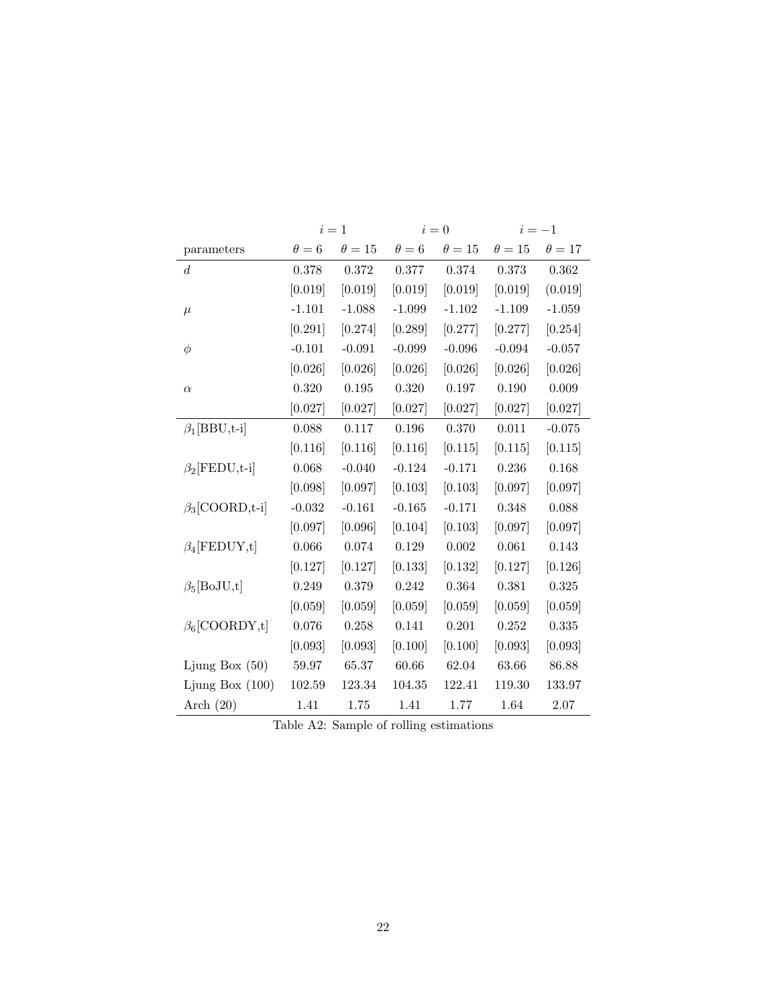|                           | $i=1$        |               | $i=0$        |               | $i=-1$      |             |
|---------------------------|--------------|---------------|--------------|---------------|-------------|-------------|
| parameters                | $\theta = 6$ | $\theta = 15$ | $\theta = 6$ | $\theta = 15$ | $\theta=15$ | $\theta=17$ |
| d                         | 0.378        | 0.372         | 0.377        | 0.374         | 0.373       | 0.362       |
|                           | [0.019]      | [0.019]       | [0.019]      | [0.019]       | [0.019]     | (0.019)     |
| $\mu$                     | $-1.101$     | $-1.088$      | $-1.099$     | $-1.102$      | $-1.109$    | $-1.059$    |
|                           | [0.291]      | [0.274]       | [0.289]      | [0.277]       | [0.277]     | [0.254]     |
| $\phi$                    | $-0.101$     | $-0.091$      | $-0.099$     | $-0.096$      | $-0.094$    | $-0.057$    |
|                           | [0.026]      | [0.026]       | [0.026]      | [0.026]       | [0.026]     | [0.026]     |
| $\alpha$                  | 0.320        | 0.195         | 0.320        | 0.197         | 0.190       | 0.009       |
|                           | [0.027]      | [0.027]       | [0.027]      | [0.027]       | [0.027]     | [0.027]     |
| $\beta_1[\text{BBU},t-i]$ | 0.088        | 0.117         | 0.196        | 0.370         | 0.011       | $-0.075$    |
|                           | [0.116]      | [0.116]       | [0.116]      | [0.115]       | [0.115]     | [0.115]     |
| $\beta_2$ [FEDU,t-i]      | 0.068        | $-0.040$      | $-0.124$     | $-0.171$      | 0.236       | 0.168       |
|                           | [0.098]      | [0.097]       | [0.103]      | [0.103]       | [0.097]     | [0.097]     |
| $\beta_3$ [COORD,t-i]     | $-0.032$     | $-0.161$      | $-0.165$     | $-0.171$      | 0.348       | 0.088       |
|                           | [0.097]      | [0.096]       | [0.104]      | [0.103]       | [0.097]     | [0.097]     |
| $\beta_4$ [FEDUY,t]       | 0.066        | 0.074         | 0.129        | $0.002\,$     | 0.061       | 0.143       |
|                           | [0.127]      | [0.127]       | [0.133]      | [0.132]       | [0.127]     | [0.126]     |
| $\beta_5[\text{BoJU,t}]$  | 0.249        | 0.379         | 0.242        | 0.364         | 0.381       | 0.325       |
|                           | [0.059]      | [0.059]       | [0.059]      | [0.059]       | [0.059]     | [0.059]     |
| $\beta_6$ [COORDY,t]      | 0.076        | 0.258         | 0.141        | 0.201         | 0.252       | 0.335       |
|                           | [0.093]      | [0.093]       | [0.100]      | [0.100]       | [0.093]     | [0.093]     |
| Ljung Box $(50)$          | 59.97        | 65.37         | 60.66        | 62.04         | 63.66       | 86.88       |
| Ljung Box $(100)$         | 102.59       | 123.34        | 104.35       | 122.41        | 119.30      | 133.97      |
| Arch $(20)$               | 1.41         | 1.75          | 1.41         | 1.77          | 1.64        | 2.07        |

Table A2: Sample of rolling estimations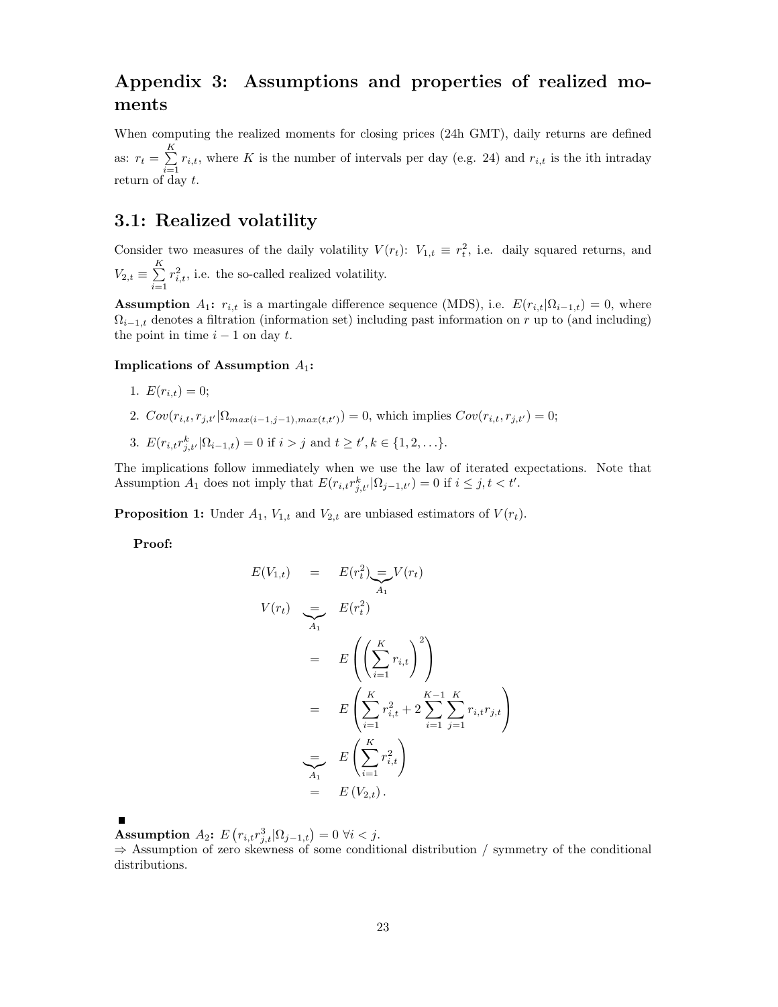## Appendix 3: Assumptions and properties of realized moments

When computing the realized moments for closing prices (24h GMT), daily returns are defined as:  $r_t = \sum_{i=1}^{K}$  $\sum_{i=1}^n r_{i,t}$ , where K is the number of intervals per day (e.g. 24) and  $r_{i,t}$  is the ith intraday return of day  $t$ .

## 3.1: Realized volatility

Consider two measures of the daily volatility  $V(r_t)$ :  $V_{1,t} \equiv r_t^2$ , i.e. daily squared returns, and  $V_{2,t} \equiv \sum^K$  $i=1$  $r_{i,t}^2$ , i.e. the so-called realized volatility.

**Assumption**  $A_1$ :  $r_{i,t}$  is a martingale difference sequence (MDS), i.e.  $E(r_{i,t}|\Omega_{i-1,t}) = 0$ , where  $\Omega_{i-1,t}$  denotes a filtration (information set) including past information on r up to (and including) the point in time  $i - 1$  on day t.

#### Implications of Assumption  $A_1$ :

- 1.  $E(r_{i,t}) = 0;$
- 2.  $Cov(r_{i,t}, r_{j,t'} | \Omega_{max(i-1,j-1),max(t,t')}) = 0$ , which implies  $Cov(r_{i,t}, r_{j,t'}) = 0$ ;
- 3.  $E(r_{i,t}r_{j,t'}^k|\Omega_{i-1,t})=0$  if  $i>j$  and  $t \ge t', k \in \{1,2,...\}.$

The implications follow immediately when we use the law of iterated expectations. Note that Assumption  $A_1$  does not imply that  $E(r_{i,t}r_{j,t'}^k|\Omega_{j-1,t'})=0$  if  $i\leq j, t < t'.$ 

**Proposition 1:** Under  $A_1$ ,  $V_{1,t}$  and  $V_{2,t}$  are unbiased estimators of  $V(r_t)$ .

Proof:

$$
E(V_{1,t}) = E(r_t^2) = V(r_t)
$$
  
\n
$$
V(r_t) = E(r_t^2)
$$
  
\n
$$
= E\left(\left(\sum_{i=1}^K r_{i,t}\right)^2\right)
$$
  
\n
$$
= E\left(\sum_{i=1}^K r_{i,t}^2 + 2\sum_{i=1}^{K-1} \sum_{j=1}^K r_{i,t}r_{j,t}\right)
$$
  
\n
$$
= E\left(\sum_{i=1}^K r_{i,t}^2\right)
$$
  
\n
$$
= E(V_{2,t}).
$$

**Assumption**  $A_2$ :  $E(r_{i,t}r_{j,t}^3|\Omega_{j-1,t}) = 0 \ \forall i < j.$ 

 $\Rightarrow$  Assumption of zero skewness of some conditional distribution / symmetry of the conditional distributions.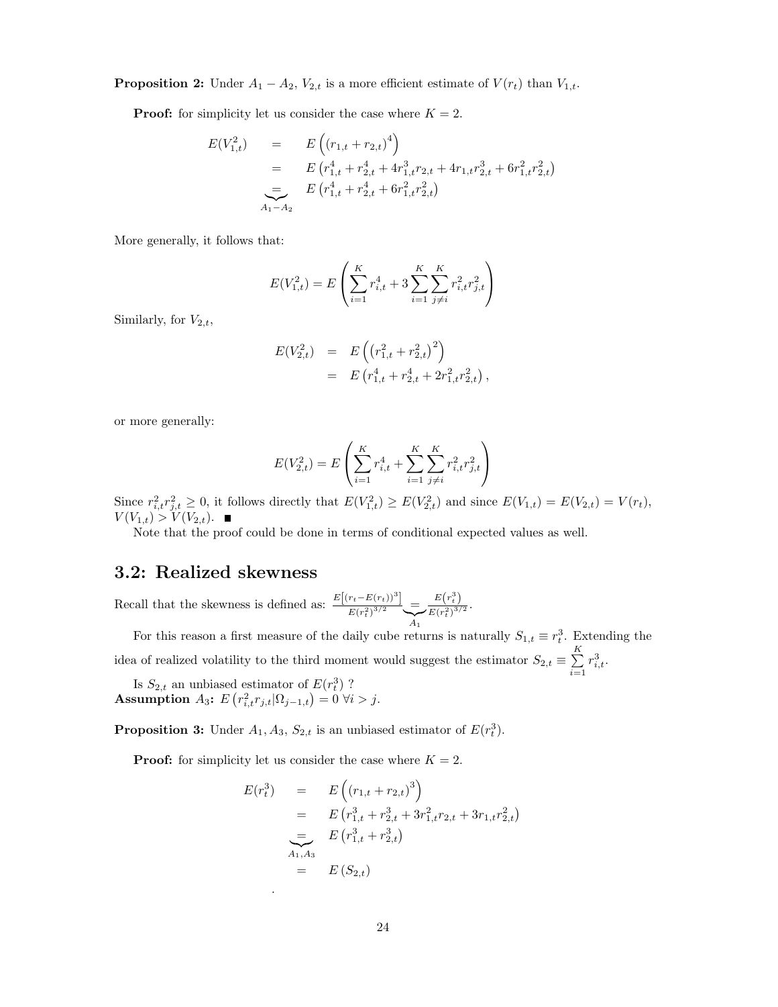**Proposition 2:** Under  $A_1 - A_2$ ,  $V_{2,t}$  is a more efficient estimate of  $V(r_t)$  than  $V_{1,t}$ .

**Proof:** for simplicity let us consider the case where  $K = 2$ .

$$
E(V_{1,t}^2) = E\left((r_{1,t} + r_{2,t})^4\right)
$$
  
= 
$$
E\left(r_{1,t}^4 + r_{2,t}^4 + 4r_{1,t}^3r_{2,t} + 4r_{1,t}r_{2,t}^3 + 6r_{1,t}^2r_{2,t}^2\right)
$$
  
= 
$$
E\left(r_{1,t}^4 + r_{2,t}^4 + 6r_{1,t}^2r_{2,t}^2\right)
$$
  

$$
A_1 - A_2
$$

More generally, it follows that:

$$
E(V_{1,t}^2) = E\left(\sum_{i=1}^K r_{i,t}^4 + 3\sum_{i=1}^K \sum_{j \neq i}^K r_{i,t}^2 r_{j,t}^2\right)
$$

Similarly, for  $V_{2,t}$ ,

$$
E(V_{2,t}^2) = E\left((r_{1,t}^2 + r_{2,t}^2)^2\right)
$$
  
= 
$$
E\left(r_{1,t}^4 + r_{2,t}^4 + 2r_{1,t}^2r_{2,t}^2\right),
$$

or more generally:

$$
E(V_{2,t}^2) = E\left(\sum_{i=1}^K r_{i,t}^4 + \sum_{i=1}^K \sum_{j \neq i}^K r_{i,t}^2 r_{j,t}^2\right)
$$

Since  $r_{i,t}^2 r_{j,t}^2 \geq 0$ , it follows directly that  $E(V_{1,t}^2) \geq E(V_{2,t}^2)$  and since  $E(V_{1,t}) = E(V_{2,t}) = V(r_t)$ ,  $V(V_{1,t}) > V(V_{2,t}).$ 

Note that the proof could be done in terms of conditional expected values as well.

## 3.2: Realized skewness

Recall that the skewness is defined as:  $\frac{E[(r_t-E(r_t))^3]}{E(r_t-3)^{3/2}}$  $\frac{E(r_t^2)^{3/2}}{E(r_t^2)^{3/2}}$  $\sum_{A_1}$  $E(r_t^3)$  $\frac{E(r_t^2)^{3/2}}{E(r_t^2)^{3/2}}$ .

For this reason a first measure of the daily cube returns is naturally  $S_{1,t} \equiv r_t^3$ . Extending the idea of realized volatility to the third moment would suggest the estimator  $S_{2,t} \equiv \sum_{k=1}^{K}$  $i=1$  $r_{i,t}^3$ .

Is  $S_{2,t}$  an unbiased estimator of  $E(r_t^3)$  ? Assumption  $A_3$ :  $E(r_{i,t}^2 r_{j,t} | \Omega_{j-1,t}) = 0 \ \forall i > j.$ 

**Proposition 3:** Under  $A_1, A_3, S_{2,t}$  is an unbiased estimator of  $E(r_t^3)$ .

**Proof:** for simplicity let us consider the case where  $K = 2$ .

.

$$
E(r_t^3) = E\left((r_{1,t} + r_{2,t})^3\right)
$$
  
=  $E\left(r_{1,t}^3 + r_{2,t}^3 + 3r_{1,t}^2r_{2,t} + 3r_{1,t}r_{2,t}^2\right)$   
=  $E\left(r_{1,t}^3 + r_{2,t}^3\right)$   
=  $E(S_{2,t})$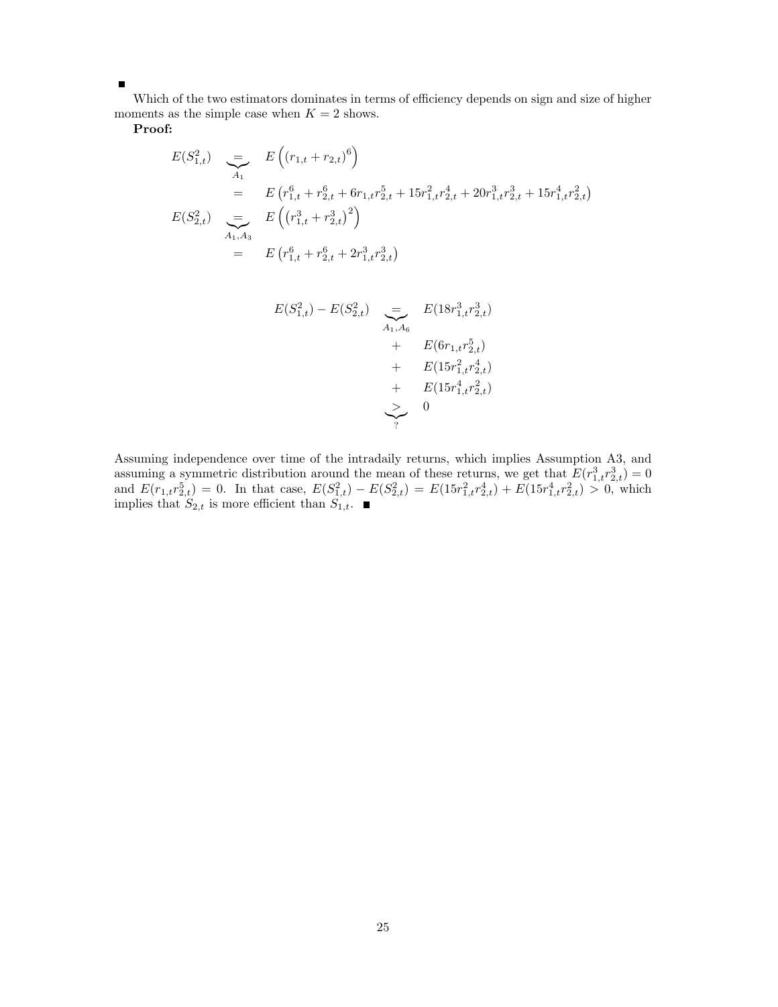Which of the two estimators dominates in terms of efficiency depends on sign and size of higher moments as the simple case when  $K = 2$  shows.

Proof:

 $\blacksquare$ 

$$
E(S_{1,t}^2) = E((r_{1,t} + r_{2,t})^6)
$$
  
= 
$$
E(r_{1,t}^6 + r_{2,t}^6 + 6r_{1,t}r_{2,t}^5 + 15r_{1,t}^2r_{2,t}^4 + 20r_{1,t}^3r_{2,t}^3 + 15r_{1,t}^4r_{2,t}^2)
$$
  

$$
E(S_{2,t}^2) = E((r_{1,t}^3 + r_{2,t}^3)^2)
$$
  
= 
$$
E(r_{1,t}^6 + r_{2,t}^6 + 2r_{1,t}^3r_{2,t}^3)
$$

$$
E(S_{1,t}^2) - E(S_{2,t}^2) = E(18r_{1,t}^3r_{2,t}^3)
$$
  
+ 
$$
E(6r_{1,t}r_{2,t}^5)
$$
  
+ 
$$
E(15r_{1,t}^2r_{2,t}^4)
$$
  
+ 
$$
E(15r_{1,t}^4r_{2,t}^2)
$$
  
> 0

Assuming independence over time of the intradaily returns, which implies Assumption A3, and assuming a symmetric distribution around the mean of these returns, we get that  $E(r_{1,t}^3 r_{2,t}^3) = 0$ and  $E(r_{1,t}r_{2,t}^5) = 0$ . In that case,  $E(S_{1,t}^2) - E(S_{2,t}^2) = E(15r_{1,t}^2r_{2,t}^4) + E(15r_{1,t}^4r_{2,t}^2) > 0$ , which implies that  $S_{2,t}$  is more efficient than  $S_{1,t}$ .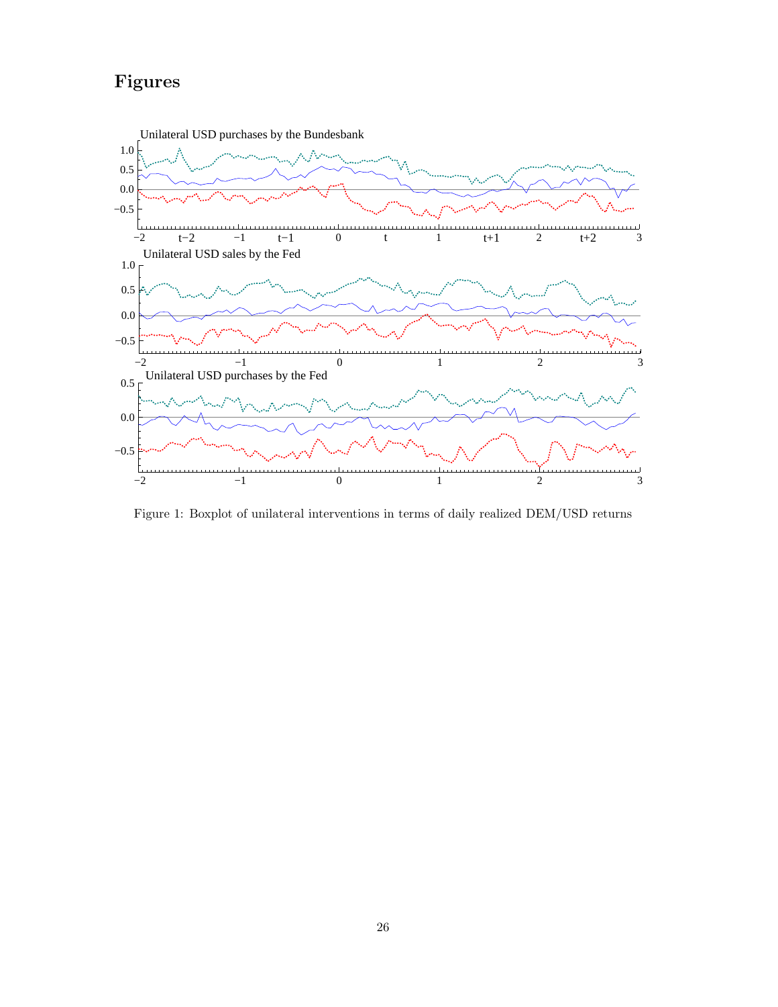# Figures



Figure 1: Boxplot of unilateral interventions in terms of daily realized DEM/USD returns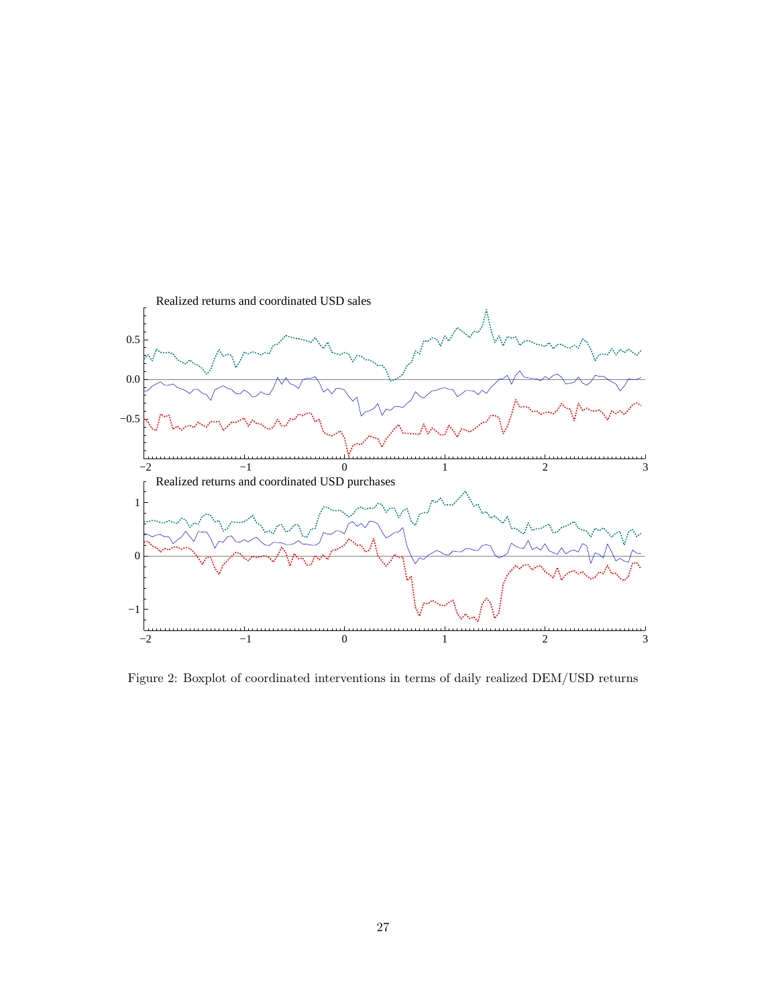

Figure 2: Boxplot of coordinated interventions in terms of daily realized DEM/USD returns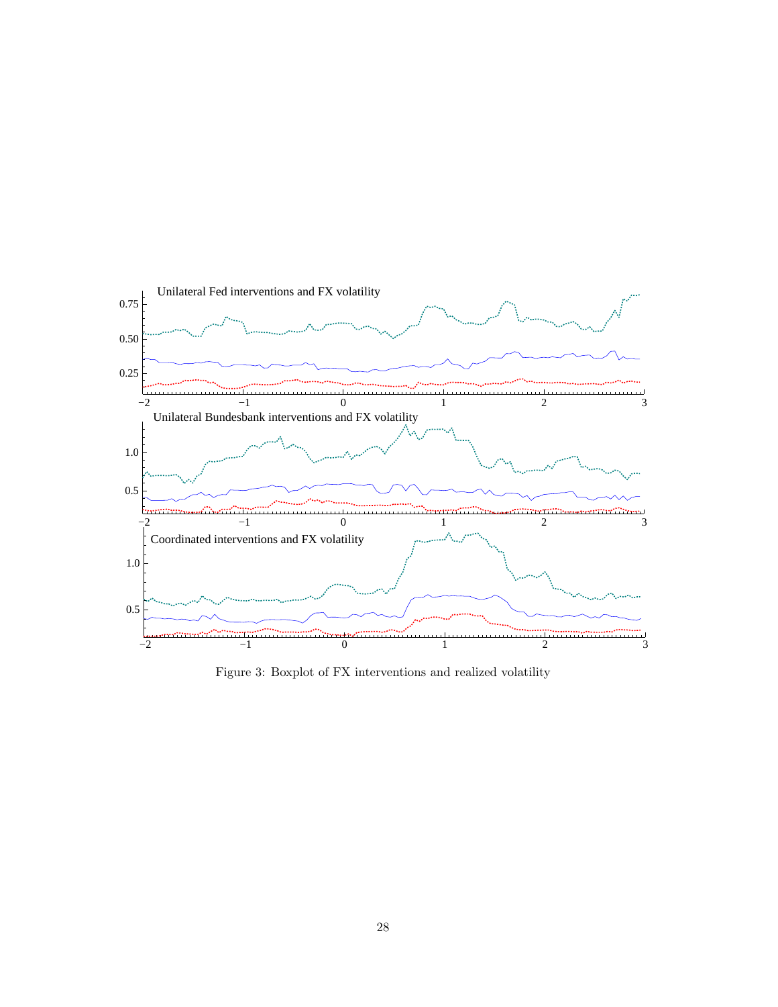

Figure 3: Boxplot of FX interventions and realized volatility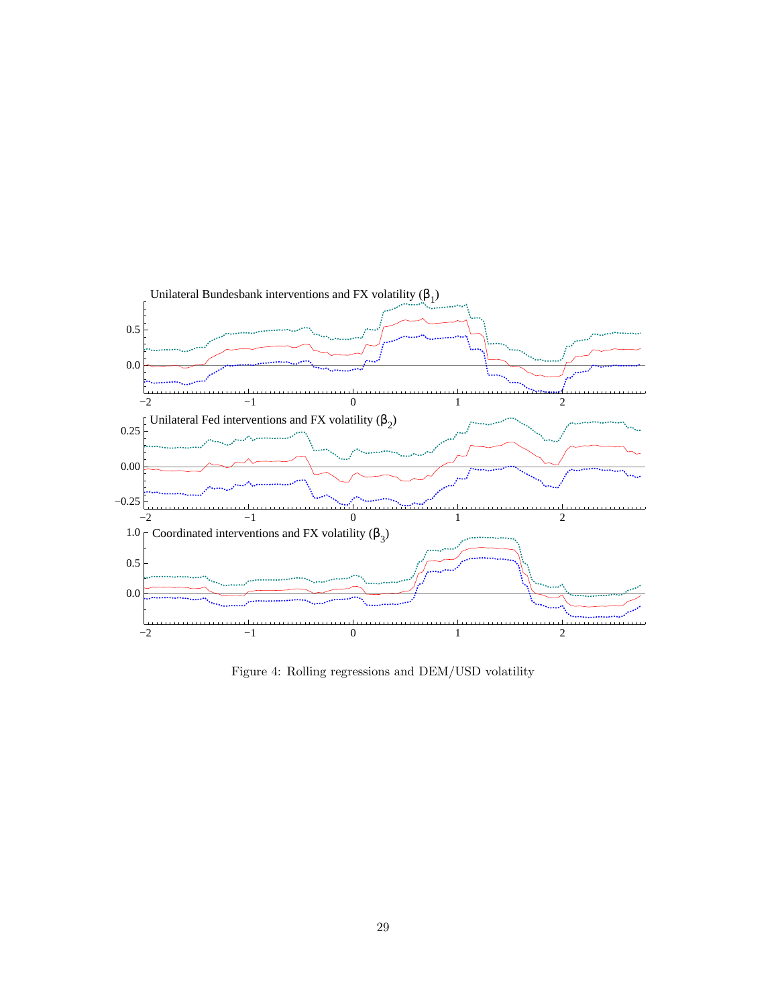

Figure 4: Rolling regressions and DEM/USD volatility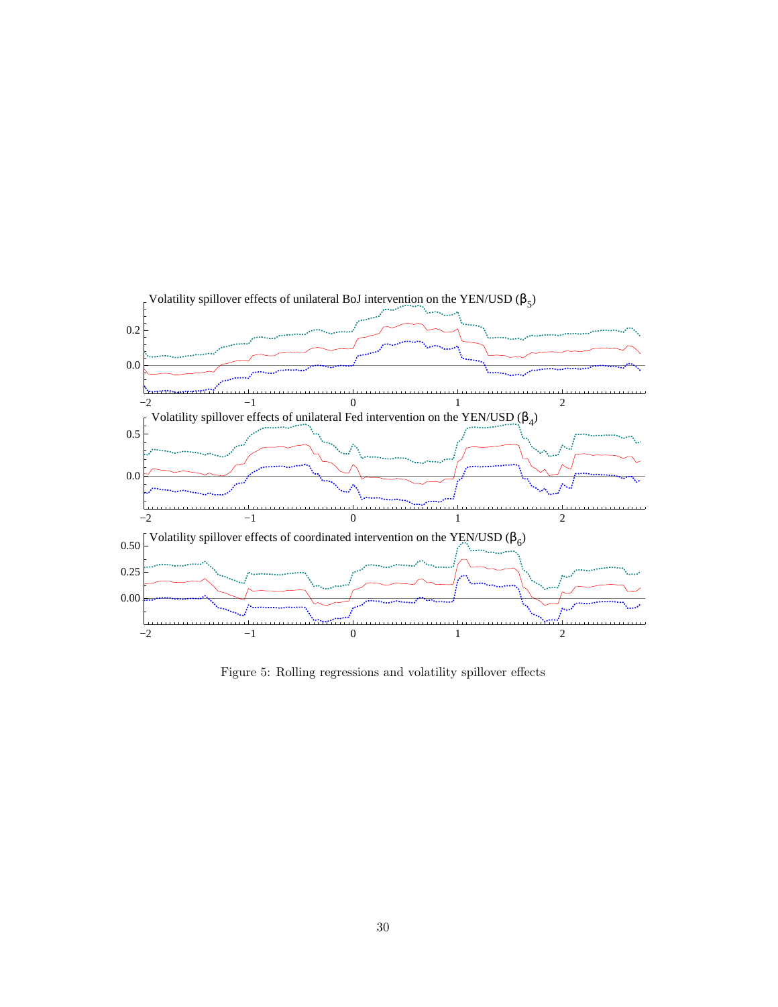

Figure 5: Rolling regressions and volatility spillover effects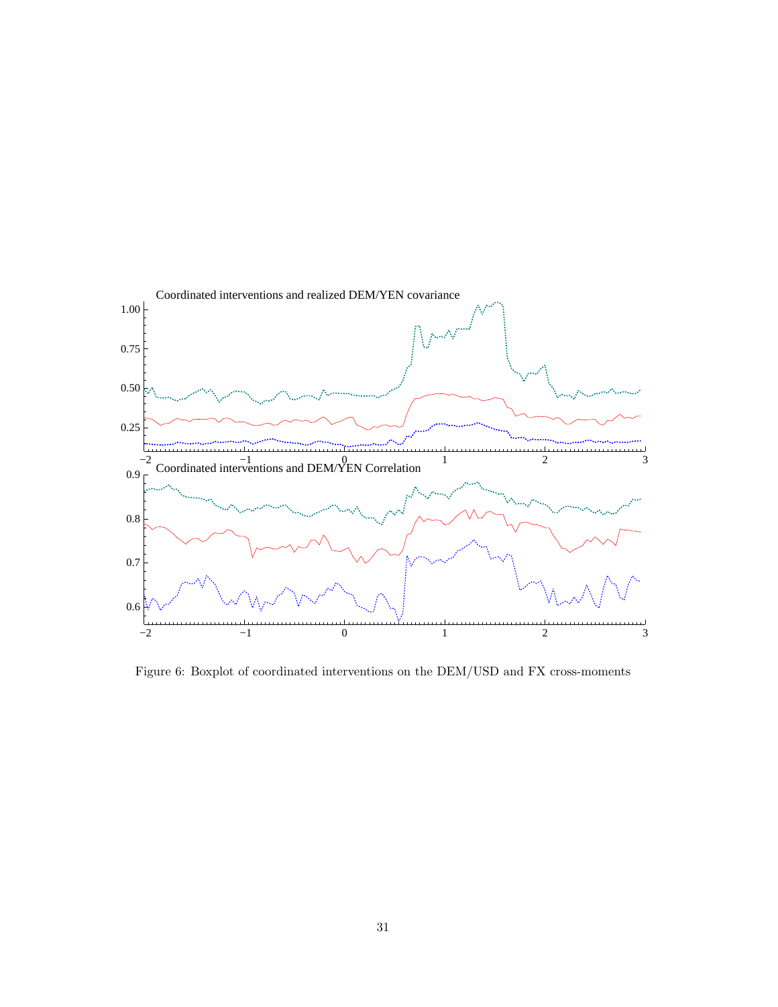

Figure 6: Boxplot of coordinated interventions on the DEM/USD and FX cross-moments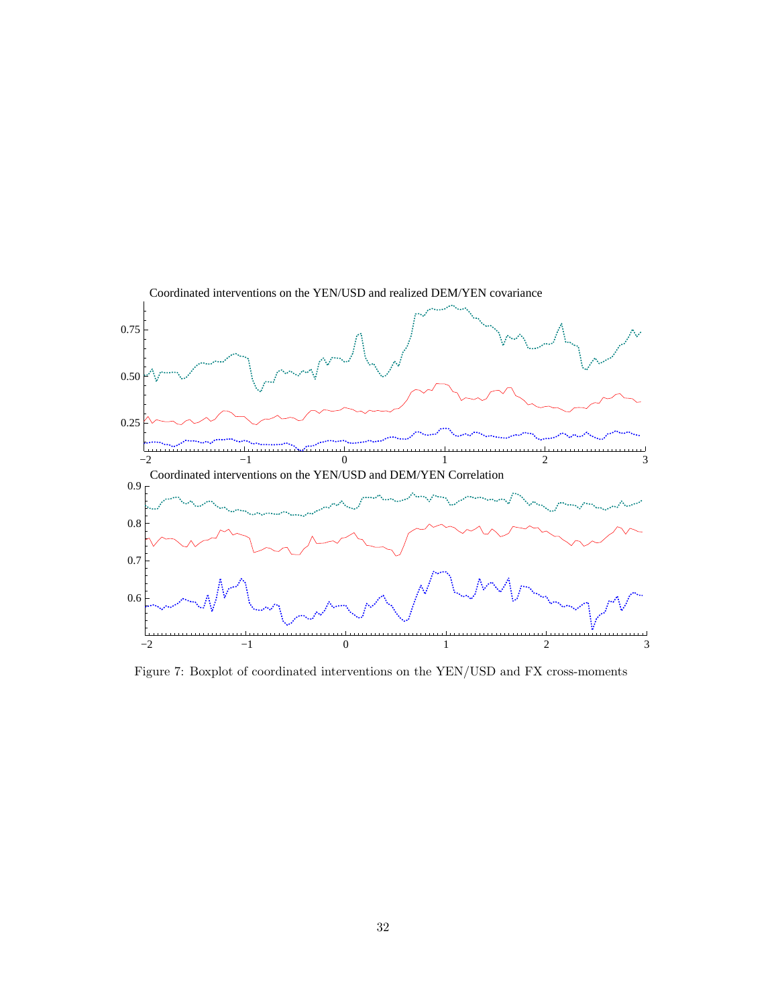

Figure 7: Boxplot of coordinated interventions on the YEN/USD and FX cross-moments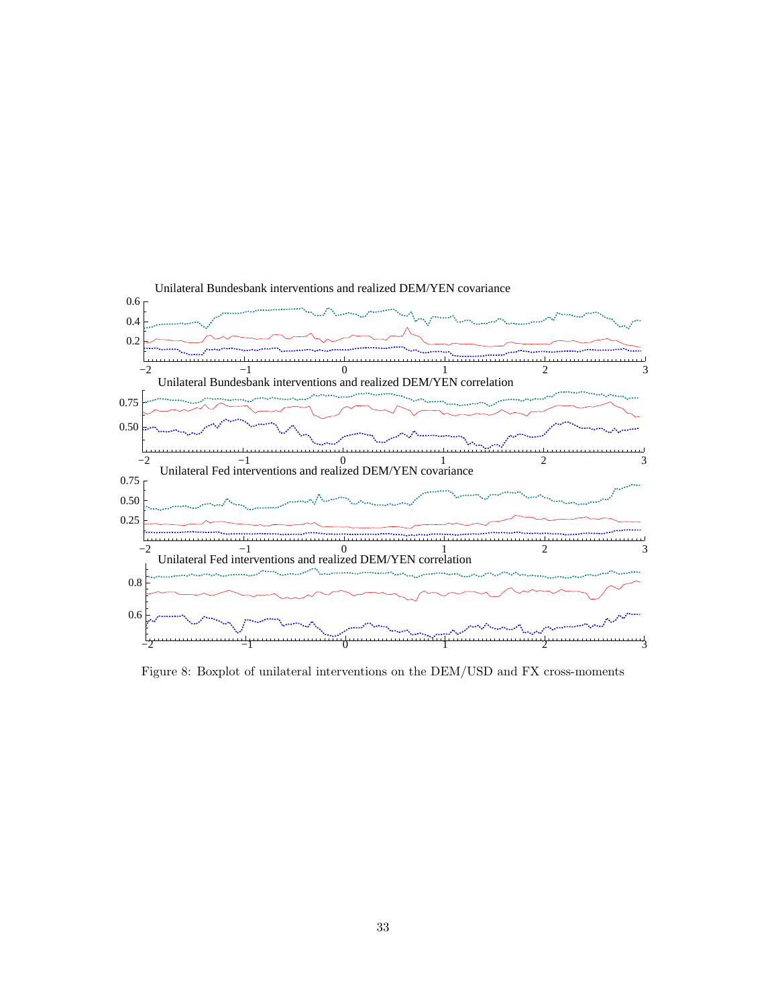

Figure 8: Boxplot of unilateral interventions on the DEM/USD and FX cross-moments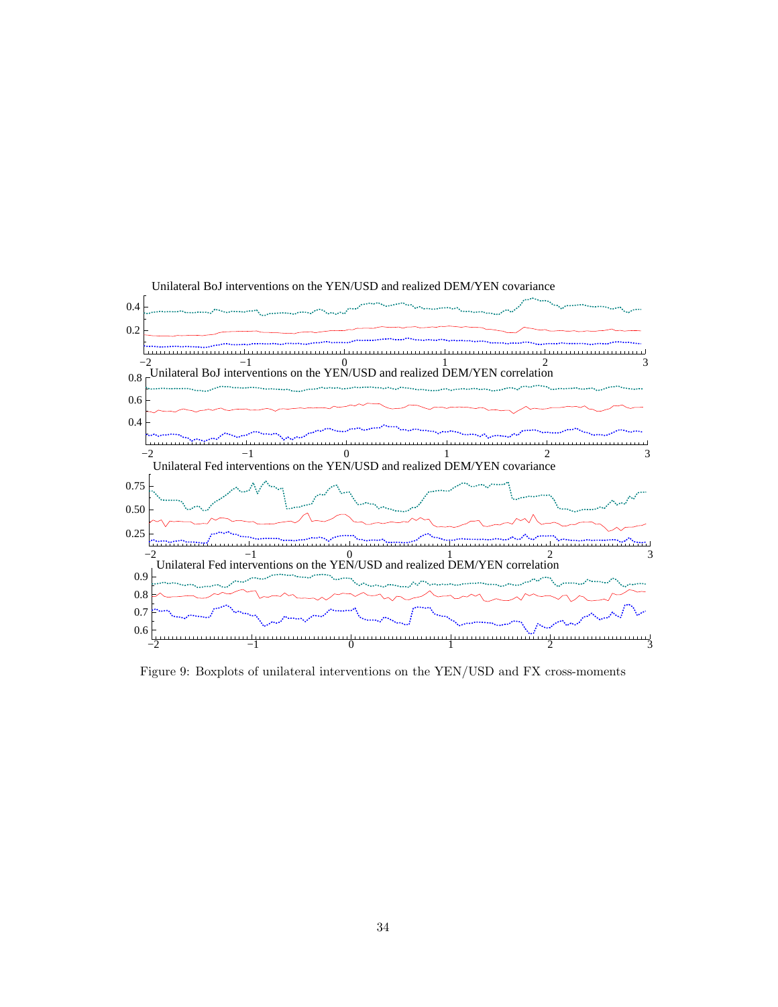

Figure 9: Boxplots of unilateral interventions on the YEN/USD and FX cross-moments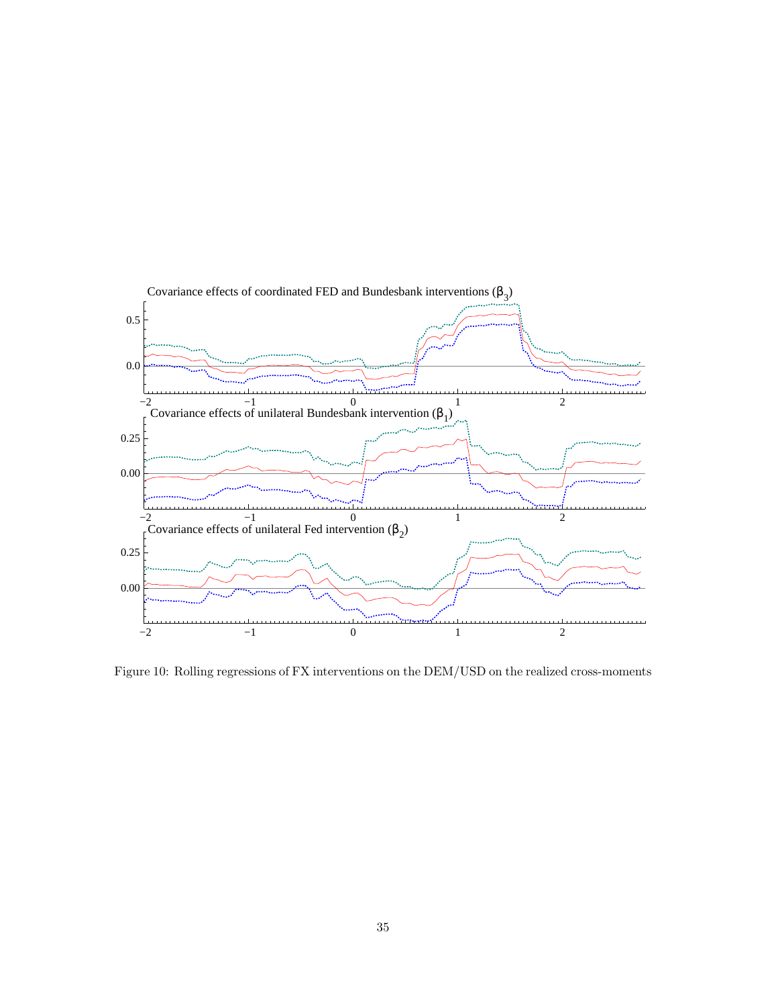

Figure 10: Rolling regressions of FX interventions on the DEM/USD on the realized cross-moments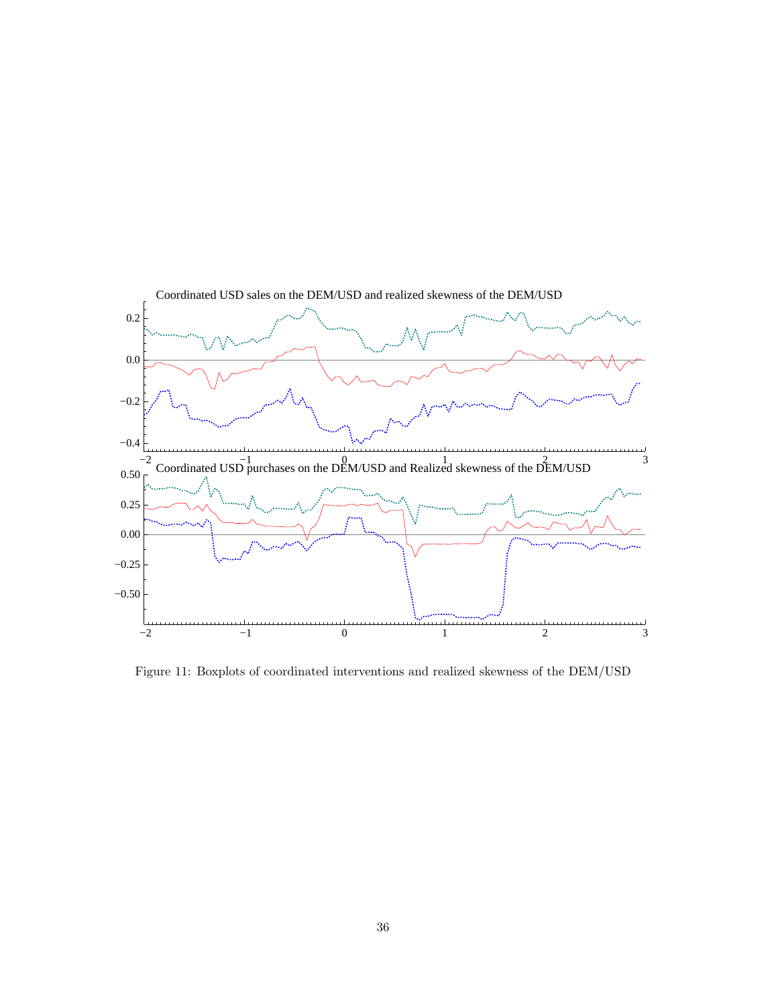

Figure 11: Boxplots of coordinated interventions and realized skewness of the DEM/USD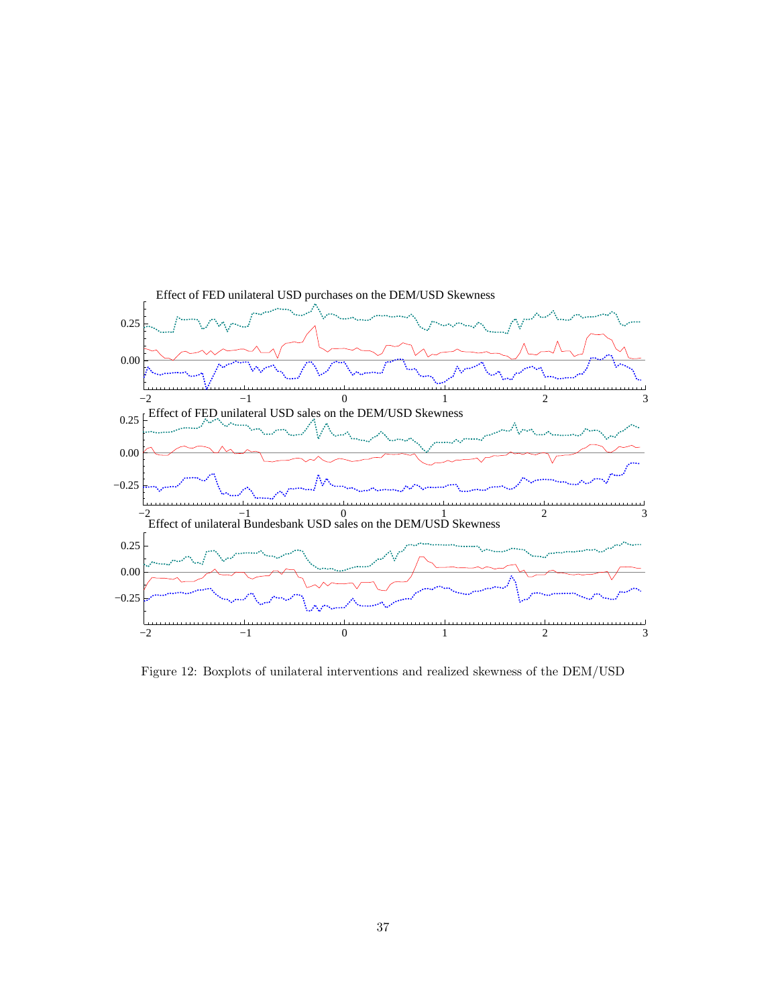

Figure 12: Boxplots of unilateral interventions and realized skewness of the DEM/USD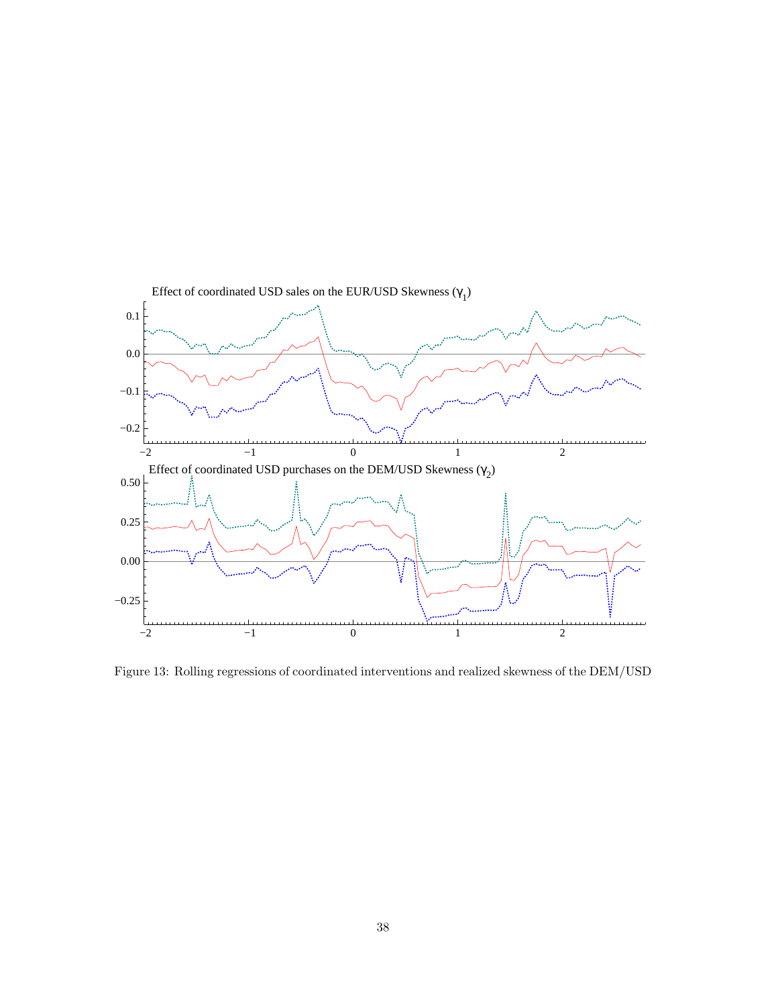

Figure 13: Rolling regressions of coordinated interventions and realized skewness of the DEM/USD